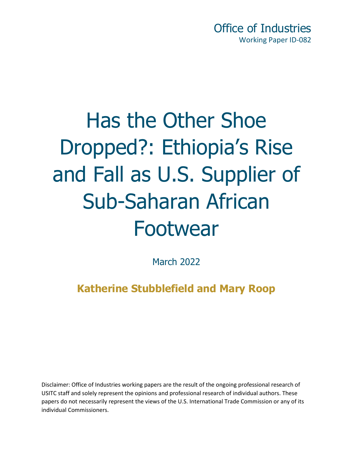Office of Industries Working Paper ID-082

# Has the Other Shoe Dropped?: Ethiopia's Rise and Fall as U.S. Supplier of Sub-Saharan African Footwear

March 2022

**Katherine Stubblefield and Mary Roop**

Disclaimer: Office of Industries working papers are the result of the ongoing professional research of USITC staff and solely represent the opinions and professional research of individual authors. These papers do not necessarily represent the views of the U.S. International Trade Commission or any of its individual Commissioners.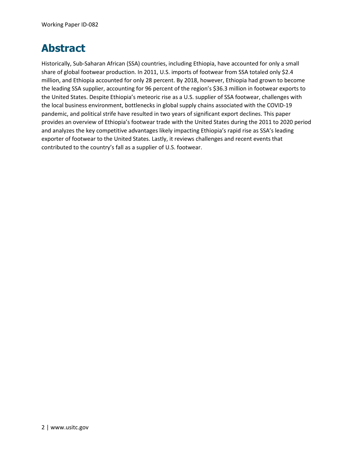### **Abstract**

Historically, Sub-Saharan African (SSA) countries, including Ethiopia, have accounted for only a small share of global footwear production. In 2011, U.S. imports of footwear from SSA totaled only \$2.4 million, and Ethiopia accounted for only 28 percent. By 2018, however, Ethiopia had grown to become the leading SSA supplier, accounting for 96 percent of the region's \$36.3 million in footwear exports to the United States. Despite Ethiopia's meteoric rise as a U.S. supplier of SSA footwear, challenges with the local business environment, bottlenecks in global supply chains associated with the COVID-19 pandemic, and political strife have resulted in two years of significant export declines. This paper provides an overview of Ethiopia's footwear trade with the United States during the 2011 to 2020 period and analyzes the key competitive advantages likely impacting Ethiopia's rapid rise as SSA's leading exporter of footwear to the United States. Lastly, it reviews challenges and recent events that contributed to the country's fall as a supplier of U.S. footwear.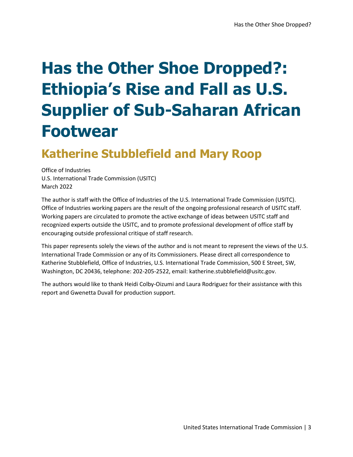# **Has the Other Shoe Dropped?: Ethiopia's Rise and Fall as U.S. Supplier of Sub-Saharan African Footwear**

# **Katherine Stubblefield and Mary Roop**

Office of Industries U.S. International Trade Commission (USITC) March 2022

The author is staff with the Office of Industries of the U.S. International Trade Commission (USITC). Office of Industries working papers are the result of the ongoing professional research of USITC staff. Working papers are circulated to promote the active exchange of ideas between USITC staff and recognized experts outside the USITC, and to promote professional development of office staff by encouraging outside professional critique of staff research.

This paper represents solely the views of the author and is not meant to represent the views of the U.S. International Trade Commission or any of its Commissioners. Please direct all correspondence to Katherine Stubblefield, Office of Industries, U.S. International Trade Commission, 500 E Street, SW, Washington, DC 20436, telephone: 202-205-2522, email: katherine.stubblefield@usitc.gov.

The authors would like to thank Heidi Colby-Oizumi and Laura Rodriguez for their assistance with this report and Gwenetta Duvall for production support.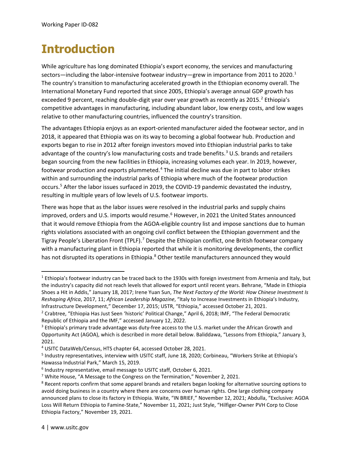# **Introduction**

While agriculture has long dominated Ethiopia's export economy, the services and manufacturing sectors—including the labor-intensive footwear industry—grew in importance from 20[1](#page-10-0)1 to 2020.<sup>1</sup> The country's transition to manufacturing accelerated growth in the Ethiopian economy overall. The International Monetary Fund reported that since 2005, Ethiopia's average annual GDP growth has exceeded 9 percent, reaching double-digit year over year growth as recently as [2](#page-3-0)015.<sup>2</sup> Ethiopia's competitive advantages in manufacturing, including abundant labor, low energy costs, and low wages relative to other manufacturing countries, influenced the country's transition.

The advantages Ethiopia enjoys as an export-oriented manufacturer aided the footwear sector, and in 2018, it appeared that Ethiopia was on its way to becoming a global footwear hub. Production and exports began to rise in 2012 after foreign investors moved into Ethiopian industrial parks to take advantage of the country's low manufacturing costs and trade benefits.<sup>[3](#page-3-1)</sup> U.S. brands and retailers began sourcing from the new facilities in Ethiopia, increasing volumes each year. In 2019, however, footwear production and exports plummeted.<sup>[4](#page-3-2)</sup> The initial decline was due in part to labor strikes within and surrounding the industrial parks of Ethiopia where much of the footwear production occurs.[5](#page-3-3) After the labor issues surfaced in 2019, the COVID-19 pandemic devastated the industry, resulting in multiple years of low levels of U.S. footwear imports.

There was hope that as the labor issues were resolved in the industrial parks and supply chains improved, orders and U.S. imports would resume.<sup>[6](#page-3-4)</sup> However, in 2021 the United States announced that it would remove Ethiopia from the AGOA-eligible country list and impose sanctions due to human rights violations associated with an ongoing civil conflict between the Ethiopian government and the Tigray People's Liberation Front (TPLF).<sup>[7](#page-3-5)</sup> Despite the Ethiopian conflict, one British footwear company with a manufacturing plant in Ethiopia reported that while it is monitoring developments, the conflict has not disrupted its operations in Ethiopia.<sup>8</sup> Other textile manufacturers announced they would

<sup>1</sup> Ethiopia's footwear industry can be traced back to the 1930s with foreign investment from Armenia and Italy, but the industry's capacity did not reach levels that allowed for export until recent years. Behrane, "Made in Ethiopia Shoes a Hit in Addis," January 18, 2017; Irene Yuan Sun, *The Next Factory of the World: How Chinese Investment Is Reshaping Africa*, 2017, 11; *African Leadership Magazine*, "Italy to Increase Investments in Ethiopia's Industry, Infrastructure Development," December 17, 2015; USTR, "Ethiopia," accessed October 21, 2021.

<span id="page-3-0"></span><sup>&</sup>lt;sup>2</sup> Crabtree, "Ethiopia Has Just Seen 'historic' Political Change," April 6, 2018; IMF, "The Federal Democratic Republic of Ethiopia and the IMF," accessed January 12, 2022.

<span id="page-3-1"></span><sup>&</sup>lt;sup>3</sup> Ethiopia's primary trade advantage was duty-free access to the U.S. market under the African Growth and Opportunity Act (AGOA), which is described in more detail below. Baliddawa, "Lessons from Ethiopia," January 3, 2021.

<span id="page-3-2"></span><sup>4</sup> USITC DataWeb/Census, HTS chapter 64, accessed October 28, 2021.

<span id="page-3-3"></span><sup>5</sup> Industry representatives, interview with USITC staff, June 18, 2020; Corbineau, "Workers Strike at Ethiopia's Hawassa Industrial Park," March 15, 2019.

<span id="page-3-4"></span><sup>&</sup>lt;sup>6</sup> Industry representative, email message to USITC staff, October 6, 2021.

<span id="page-3-5"></span> $7$  White House, "A Message to the Congress on the Termination," November 2, 2021.

<span id="page-3-6"></span><sup>&</sup>lt;sup>8</sup> Recent reports confirm that some apparel brands and retailers began looking for alternative sourcing options to avoid doing business in a country where there are concerns over human rights. One large clothing company announced plans to close its factory in Ethiopia. Waite, "IN BRIEF," November 12, 2021; Abdulla, "Exclusive: AGOA Loss Will Return Ethiopia to Famine-State," November 11, 2021; Just Style, "Hilfiger-Owner PVH Corp to Close Ethiopia Factory," November 19, 2021.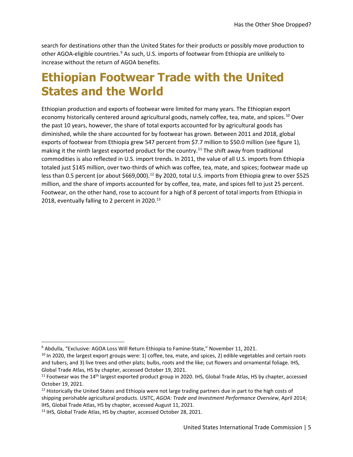search for destinations other than the United States for their products or possibly move production to other AGOA-eligible countries.<sup>[9](#page-4-0)</sup> As such, U.S. imports of footwear from Ethiopia are unlikely to increase without the return of AGOA benefits.

# **Ethiopian Footwear Trade with the United States and the World**

Ethiopian production and exports of footwear were limited for many years. The Ethiopian export economy historically centered around agricultural goods, namely coffee, tea, mate, and spices.<sup>[10](#page-4-1)</sup> Over the past 10 years, however, the share of total exports accounted for by agricultural goods has diminished, while the share accounted for by footwear has grown. Between 2011 and 2018, global exports of footwear from Ethiopia grew 547 percent from \$7.7 million to \$50.0 million (see figure 1), making it the ninth largest exported product for the country.<sup>[11](#page-4-2)</sup> The shift away from traditional commodities is also reflected in U.S. import trends. In 2011, the value of all U.S. imports from Ethiopia totaled just \$145 million, over two-thirds of which was coffee, tea, mate, and spices; footwear made up less than 0.5 percent (or about \$669,000).<sup>[12](#page-4-3)</sup> By 2020, total U.S. imports from Ethiopia grew to over \$525 million, and the share of imports accounted for by coffee, tea, mate, and spices fell to just 25 percent. Footwear, on the other hand, rose to account for a high of 8 percent of total imports from Ethiopia in 2018, eventually falling to 2 percent in  $2020.<sup>13</sup>$  $2020.<sup>13</sup>$  $2020.<sup>13</sup>$ 

<span id="page-4-0"></span><sup>&</sup>lt;sup>9</sup> Abdulla, "Exclusive: AGOA Loss Will Return Ethiopia to Famine-State," November 11, 2021.

<span id="page-4-1"></span> $10$  In 2020, the largest export groups were: 1) coffee, tea, mate, and spices, 2) edible vegetables and certain roots and tubers, and 3) live trees and other plats; bulbs, roots and the like; cut flowers and ornamental foliage. IHS, Global Trade Atlas, HS by chapter, accessed October 19, 2021.

<span id="page-4-2"></span> $11$  Footwear was the  $14<sup>th</sup>$  largest exported product group in 2020. IHS, Global Trade Atlas, HS by chapter, accessed October 19, 2021.

<span id="page-4-3"></span> $12$  Historically the United States and Ethiopia were not large trading partners due in part to the high costs of shipping perishable agricultural products. USITC, *AGOA: Trade and Investment Performance Overview*, April 2014; IHS, Global Trade Atlas, HS by chapter, accessed August 11, 2021.

<span id="page-4-4"></span><sup>&</sup>lt;sup>13</sup> IHS, Global Trade Atlas, HS by chapter, accessed October 28, 2021.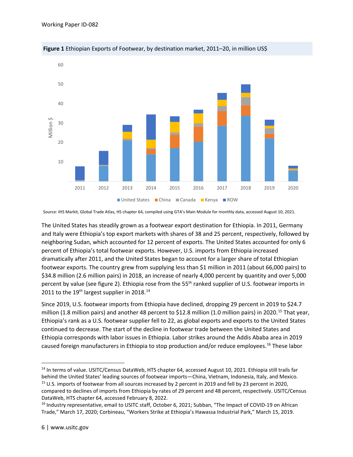



Source: IHS Markit, Global Trade Atlas, HS chapter 64, compiled using GTA's Main Module for monthly data, accessed August 10, 2021.

The United States has steadily grown as a footwear export destination for Ethiopia. In 2011, Germany and Italy were Ethiopia's top export markets with shares of 38 and 25 percent, respectively, followed by neighboring Sudan, which accounted for 12 percent of exports. The United States accounted for only 6 percent of Ethiopia's total footwear exports. However, U.S. imports from Ethiopia increased dramatically after 2011, and the United States began to account for a larger share of total Ethiopian footwear exports. The country grew from supplying less than \$1 million in 2011 (about 66,000 pairs) to \$34.8 million (2.6 million pairs) in 2018, an increase of nearly 4,000 percent by quantity and over 5,000 percent by value (see figure 2). Ethiopia rose from the 55<sup>th</sup> ranked supplier of U.S. footwear imports in 2011 to the 19<sup>th</sup> largest supplier in 2018.<sup>[14](#page-5-0)</sup>

Since 2019, U.S. footwear imports from Ethiopia have declined, dropping 29 percent in 2019 to \$24.7 million (1.8 million pairs) and another 48 percent to \$12.8 million (1.0 million pairs) in 2020.<sup>[15](#page-5-1)</sup> That year, Ethiopia's rank as a U.S. footwear supplier fell to 22, as global exports and exports to the United States continued to decrease. The start of the decline in footwear trade between the United States and Ethiopia corresponds with labor issues in Ethiopia. Labor strikes around the Addis Ababa area in 2019 caused foreign manufacturers in Ethiopia to stop production and/or reduce employees.<sup>[16](#page-5-2)</sup> These labor

<span id="page-5-0"></span><sup>&</sup>lt;sup>14</sup> In terms of value. USITC/Census DataWeb, HTS chapter 64, accessed August 10, 2021. Ethiopia still trails far behind the United States' leading sources of footwear imports—China, Vietnam, Indonesia, Italy, and Mexico. <sup>15</sup> U.S. imports of footwear from all sources increased by 2 percent in 2019 and fell by 23 percent in 2020,

<span id="page-5-1"></span>compared to declines of imports from Ethiopia by rates of 29 percent and 48 percent, respectively. USITC/Census DataWeb, HTS chapter 64, accessed February 8, 2022.

<span id="page-5-2"></span><sup>&</sup>lt;sup>16</sup> Industry representative, email to USITC staff, October 6, 2021; Subban, "The Impact of COVID-19 on African Trade," March 17, 2020; Corbineau, "Workers Strike at Ethiopia's Hawassa Industrial Park," March 15, 2019.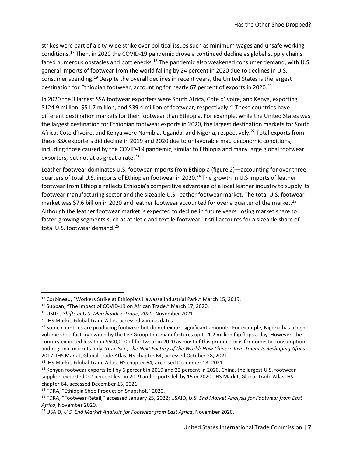strikes were part of a city-wide strike over political issues such as minimum wages and unsafe working conditions.[17](#page-6-0) Then, in 2020 the COVID-19 pandemic drove a continued decline as global supply chains faced numerous obstacles and bottlenecks.<sup>[18](#page-6-1)</sup> The pandemic also weakened consumer demand, with U.S. general imports of footwear from the world falling by 24 percent in 2020 due to declines in U.S. consumer spending.[19](#page-6-2) Despite the overall declines in recent years, the United States is the largest destination for Ethiopian footwear, accounting for nearly 67 percent of exports in [20](#page-6-3)20.<sup>20</sup>

In 2020 the 3 largest SSA footwear exporters were South Africa, Cote d'Ivoire, and Kenya, exporting \$124.9 million, \$51.7 million, and \$39.4 million of footwear, respectively.<sup>[21](#page-6-4)</sup> These countries have different destination markets for their footwear than Ethiopia. For example, while the United States was the largest destination for Ethiopian footwear exports in 2020, the largest destination markets for South Africa, Cote d'Ivoire, and Kenya were Namibia, Uganda, and Nigeria, respectively.<sup>[22](#page-6-5)</sup> Total exports from these SSA exporters did decline in 2019 and 2020 due to unfavorable macroeconomic conditions, including those caused by the COVID-19 pandemic, similar to Ethiopia and many large global footwear exporters, but not at as great a rate. $^{23}$  $^{23}$  $^{23}$ 

Leather footwear dominates U.S. footwear imports from Ethiopia (figure 2)—accounting for over threequarters of total U.S. imports of Ethiopian footwear in 2020.<sup>24</sup> The growth in U.S imports of leather footwear from Ethiopia reflects Ethiopia's competitive advantage of a local leather industry to supply its footwear manufacturing sector and the sizeable U.S. leather footwear market. The total U.S. footwear market was \$7.6 billion in 2020 and leather footwear accounted for over a quarter of the market.<sup>[25](#page-6-8)</sup> Although the leather footwear market is expected to decline in future years, losing market share to faster-growing segments such as athletic and textile footwear, it still accounts for a sizeable share of total U.S. footwear demand.<sup>[26](#page-6-9)</sup>

<span id="page-6-0"></span><sup>17</sup> Corbineau, "Workers Strike at Ethiopia's Hawassa Industrial Park," March 15, 2019.

<span id="page-6-1"></span><sup>&</sup>lt;sup>18</sup> Subban, "The Impact of COVID-19 on African Trade," March 17, 2020.

<span id="page-6-2"></span><sup>19</sup> USITC, *Shifts in U.S. Merchandise Trade, 2020*, November 2021.

<span id="page-6-3"></span><sup>20</sup> IHS Markit, Global Trade Atlas, accessed various dates.

<span id="page-6-4"></span> $21$  Some countries are producing footwear but do not export significant amounts. For example, Nigeria has a highvolume shoe factory owned by the Lee Group that manufactures up to 1.2 million flip flops a day. However, the country exported less than \$500,000 of footwear in 2020 as most of this production is for domestic consumption and regional markets only. Yuan Sun, *The Next Factory of the World: How Chinese Investment Is Reshaping Africa*, 2017; IHS Markit, Global Trade Atlas, HS chapter 64, accessed October 28, 2021.

<span id="page-6-5"></span><sup>&</sup>lt;sup>22</sup> IHS Markit, Global Trade Atlas, HS chapter 64, accessed December 13, 2021.

<span id="page-6-6"></span><sup>&</sup>lt;sup>23</sup> Kenyan footwear exports fell by 6 percent in 2019 and 22 percent in 2020. China, the largest U.S. footwear supplier, exported 0.2 percent less in 2019 and exports fell by 15 in 2020. IHS Markit, Global Trade Atlas, HS chapter 64, accessed December 13, 2021.

<span id="page-6-7"></span><sup>24</sup> FDRA, "Ethiopia Shoe Production Snapshot," 2020.

<span id="page-6-8"></span><sup>25</sup> FDRA, "Footwear Retail," accessed January 25, 2022; USAID, *U.S. End Market Analysis for Footwear from East Africa*, November 2020.

<span id="page-6-9"></span><sup>26</sup> USAID, *U.S. End Market Analysis for Footwear from East Africa*, November 2020.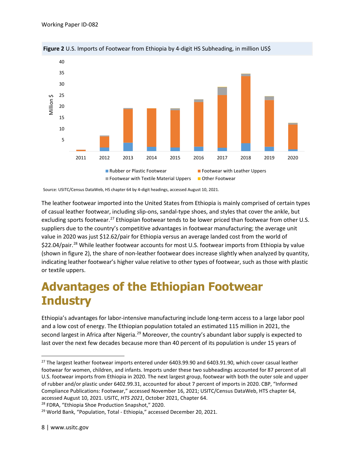

**Figure 2** U.S. Imports of Footwear from Ethiopia by 4-digit HS Subheading, in million US\$

Source: USITC/Census DataWeb, HS chapter 64 by 4-digit headings, accessed August 10, 2021.

The leather footwear imported into the United States from Ethiopia is mainly comprised of certain types of casual leather footwear, including slip-ons, sandal-type shoes, and styles that cover the ankle, but excluding sports footwear.<sup>[27](#page-7-0)</sup> Ethiopian footwear tends to be lower priced than footwear from other U.S. suppliers due to the country's competitive advantages in footwear manufacturing; the average unit value in 2020 was just \$12.62/pair for Ethiopia versus an average landed cost from the world of \$22.04/pair.[28](#page-7-1) While leather footwear accounts for most U.S. footwear imports from Ethiopia by value (shown in figure 2), the share of non-leather footwear does increase slightly when analyzed by quantity, indicating leather footwear's higher value relative to other types of footwear, such as those with plastic or textile uppers.

# **Advantages of the Ethiopian Footwear Industry**

Ethiopia's advantages for labor-intensive manufacturing include long-term access to a large labor pool and a low cost of energy. The Ethiopian population totaled an estimated 115 million in 2021, the second largest in Africa after Nigeria.<sup>[29](#page-7-2)</sup> Moreover, the country's abundant labor supply is expected to last over the next few decades because more than 40 percent of its population is under 15 years of

<span id="page-7-1"></span><sup>28</sup> FDRA, "Ethiopia Shoe Production Snapshot," 2020.

<span id="page-7-0"></span><sup>&</sup>lt;sup>27</sup> The largest leather footwear imports entered under 6403.99.90 and 6403.91.90, which cover casual leather footwear for women, children, and infants. Imports under these two subheadings accounted for 87 percent of all U.S. footwear imports from Ethiopia in 2020. The next largest group, footwear with both the outer sole and upper of rubber and/or plastic under 6402.99.31, accounted for about 7 percent of imports in 2020. CBP, "Informed Compliance Publications: Footwear," accessed November 16, 2021; USITC/Census DataWeb, HTS chapter 64, accessed August 10, 2021. USITC, *HTS 2021*, October 2021, Chapter 64.

<span id="page-7-2"></span><sup>&</sup>lt;sup>29</sup> World Bank, "Population, Total - Ethiopia," accessed December 20, 2021.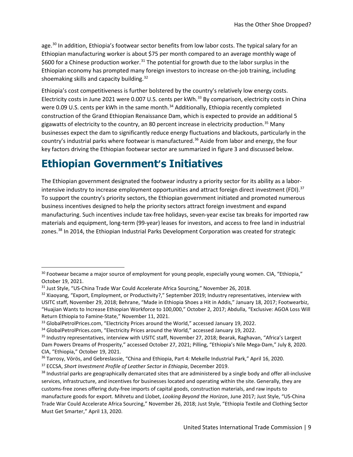age.<sup>[30](#page-8-0)</sup> In addition, Ethiopia's footwear sector benefits from low labor costs. The typical salary for an Ethiopian manufacturing worker is about \$75 per month compared to an average monthly wage of \$600 for a Chinese production worker.<sup>[31](#page-8-1)</sup> The potential for growth due to the labor surplus in the Ethiopian economy has prompted many foreign investors to increase on-the-job training, including shoemaking skills and capacity building.<sup>[32](#page-8-2)</sup>

Ethiopia's cost competitiveness is further bolstered by the country's relatively low energy costs. Electricity costs in June 2021 were 0.007 U.S. cents per kWh.<sup>[33](#page-8-3)</sup> By comparison, electricity costs in China were 0.09 U.S. cents per kWh in the same month.<sup>[34](#page-8-4)</sup> Additionally, Ethiopia recently completed construction of the Grand Ethiopian Renaissance Dam, which is expected to provide an additional 5 gigawatts of electricity to the country, an 80 percent increase in electricity production.<sup>[35](#page-8-5)</sup> Many businesses expect the dam to significantly reduce energy fluctuations and blackouts, particularly in the country's industrial parks where footwear is manufactured.<sup>[36](#page-8-6)</sup> Aside from labor and energy, the four key factors driving the Ethiopian footwear sector are summarized in figure 3 and discussed below.

### **Ethiopian Government's Initiatives**

The Ethiopian government designated the footwear industry a priority sector for its ability as a labor-intensive industry to increase employment opportunities and attract foreign direct investment (FDI).<sup>[37](#page-8-7)</sup> To support the country's priority sectors, the Ethiopian government initiated and promoted numerous business incentives designed to help the priority sectors attract foreign investment and expand manufacturing. Such incentives include tax-free holidays, seven-year excise tax breaks for imported raw materials and equipment, long-term (99-year) leases for investors, and access to free land in industrial zones.<sup>[38](#page-8-8)</sup> In 2014, the Ethiopian Industrial Parks Development Corporation was created for strategic

<span id="page-8-0"></span><sup>&</sup>lt;sup>30</sup> Footwear became a major source of employment for young people, especially young women. CIA, "Ethiopia," October 19, 2021.

<span id="page-8-1"></span><sup>31</sup> Just Style, "US-China Trade War Could Accelerate Africa Sourcing," November 26, 2018.

<span id="page-8-2"></span><sup>32</sup> Xiaoyang, "Export, Employment, or Productivity?," September 2019; Industry representatives, interview with USITC staff, November 29, 2018; Behrane, "Made in Ethiopia Shoes a Hit in Addis," January 18, 2017; Footwearbiz, "Huajian Wants to Increase Ethiopian Workforce to 100,000," October 2, 2017; Abdulla, "Exclusive: AGOA Loss Will Return Ethiopia to Famine-State," November 11, 2021.

<span id="page-8-3"></span><sup>33</sup> GlobalPetrolPrices.com, "Electricity Prices around the World," accessed January 19, 2022.

<span id="page-8-4"></span><sup>&</sup>lt;sup>34</sup> GlobalPetrolPrices.com, "Electricity Prices around the World," accessed January 19, 2022.

<span id="page-8-5"></span><sup>35</sup> Industry representatives, interview with USITC staff, November 27, 2018; Bearak, Raghavan, "Africa's Largest Dam Powers Dreams of Prosperity," accessed October 27, 2021; Pilling, "Ethiopia's Nile Mega-Dam," July 8, 2020. CIA, "Ethiopia," October 19, 2021.

<span id="page-8-6"></span><sup>&</sup>lt;sup>36</sup> Tarrosy, Vörös, and Gebreslassie, "China and Ethiopia, Part 4: Mekelle Industrial Park," April 16, 2020.

<span id="page-8-7"></span><sup>37</sup> ECCSA, *Short Investment Profile of Leather Sector in Ethiopia*, December 2019.

<span id="page-8-8"></span><sup>&</sup>lt;sup>38</sup> Industrial parks are geographically demarcated sites that are administered by a single body and offer all-inclusive services, infrastructure, and incentives for businesses located and operating within the site. Generally, they are customs-free zones offering duty-free imports of capital goods, construction materials, and raw inputs to manufacture goods for export. Mihretu and Llobet, *Looking Beyond the Horizon*, June 2017; Just Style, "US-China Trade War Could Accelerate Africa Sourcing," November 26, 2018; Just Style, "Ethiopia Textile and Clothing Sector Must Get Smarter," April 13, 2020.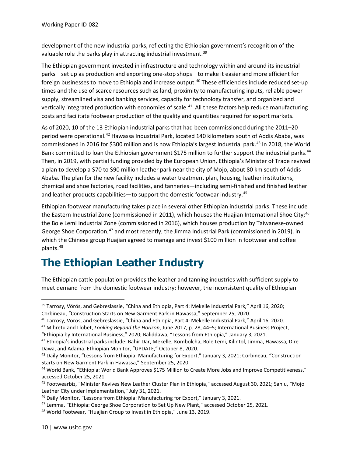development of the new industrial parks, reflecting the Ethiopian government's recognition of the valuable role the parks play in attracting industrial investment.<sup>[39](#page-9-0)</sup>

The Ethiopian government invested in infrastructure and technology within and around its industrial parks—set up as production and exporting one-stop shops—to make it easier and more efficient for foreign businesses to move to Ethiopia and increase output.<sup>[40](#page-9-1)</sup> These efficiencies include reduced set-up times and the use of scarce resources such as land, proximity to manufacturing inputs, reliable power supply, streamlined visa and banking services, capacity for technology transfer, and organized and vertically integrated production with economies of scale.<sup>[41](#page-9-2)</sup> All these factors help reduce manufacturing costs and facilitate footwear production of the quality and quantities required for export markets.

As of 2020, 10 of the 13 Ethiopian industrial parks that had been commissioned during the 2011–20 period were operational.<sup>[42](#page-9-3)</sup> Hawassa Industrial Park, located 140 kilometers south of Addis Ababa, was commissioned in 2016 for \$300 million and is now Ethiopia's largest industrial park.<sup>[43](#page-9-4)</sup> In 2018, the World Bank committed to loan the Ethiopian government \$175 million to further support the industrial parks.<sup>44</sup> Then, in 2019, with partial funding provided by the European Union, Ethiopia's Minister of Trade revived a plan to develop a \$70 to \$90 million leather park near the city of Mojo, about 80 km south of Addis Ababa. The plan for the new facility includes a water treatment plan, housing, leather institutions, chemical and shoe factories, road facilities, and tanneries—including semi-finished and finished leather and leather products capabilities—to support the domestic footwear industry.<sup>[45](#page-9-6)</sup>

Ethiopian footwear manufacturing takes place in several other Ethiopian industrial parks. These include the Eastern Industrial Zone (commissioned in 2011), which houses the Huajian International Shoe City;<sup>[46](#page-9-7)</sup> the Bole Lemi Industrial Zone (commissioned in 2016), which houses production by Taiwanese-owned George Shoe Corporation;<sup>[47](#page-9-8)</sup> and most recently, the Jimma Industrial Park (commissioned in 2019), in which the Chinese group Huajian agreed to manage and invest \$100 million in footwear and coffee plants.<sup>[48](#page-9-9)</sup>

### **The Ethiopian Leather Industry**

The Ethiopian cattle population provides the leather and tanning industries with sufficient supply to meet demand from the domestic footwear industry; however, the inconsistent quality of Ethiopian

<span id="page-9-0"></span><sup>&</sup>lt;sup>39</sup> Tarrosy, Vörös, and Gebreslassie, "China and Ethiopia, Part 4: Mekelle Industrial Park," April 16, 2020; Corbineau, "Construction Starts on New Garment Park in Hawassa," September 25, 2020.

<span id="page-9-2"></span><span id="page-9-1"></span><sup>40</sup> Tarrosy, Vörös, and Gebreslassie, "China and Ethiopia, Part 4: Mekelle Industrial Park," April 16, 2020.

<sup>41</sup> Mihretu and Llobet, *Looking Beyond the Horizon*, June 2017, p. 28, 44–5; International Business Project,

<sup>&</sup>quot;Ethiopia by International Business," 2020; Baliddawa, "Lessons from Ethiopia," January 3, 2021.

<span id="page-9-3"></span><sup>&</sup>lt;sup>42</sup> Ethiopia's industrial parks include: Bahir Dar, Mekelle, Kombolcha, Bole Lemi, Kilintol, Jimma, Hawassa, Dire Dawa, and Adama. Ethiopian Monitor, "UPDATE," October 8, 2020.

<span id="page-9-4"></span><sup>&</sup>lt;sup>43</sup> Daily Monitor, "Lessons from Ethiopia: Manufacturing for Export," January 3, 2021; Corbineau, "Construction Starts on New Garment Park in Hawassa," September 25, 2020.

<span id="page-9-5"></span><sup>44</sup> World Bank, "Ethiopia: World Bank Approves \$175 Million to Create More Jobs and Improve Competitiveness," accessed October 25, 2021.

<span id="page-9-6"></span><sup>45</sup> Footwearbiz, "Minister Revives New Leather Cluster Plan in Ethiopia," accessed August 30, 2021; Sahlu, "Mojo Leather City under Implementation," July 31, 2021.

<span id="page-9-7"></span><sup>46</sup> Daily Monitor, "Lessons from Ethiopia: Manufacturing for Export," January 3, 2021.

<span id="page-9-8"></span><sup>&</sup>lt;sup>47</sup> Lemma, "Ethiopia: George Shoe Corporation to Set Up New Plant," accessed October 25, 2021.

<span id="page-9-9"></span><sup>48</sup> World Footwear, "Huajian Group to Invest in Ethiopia," June 13, 2019.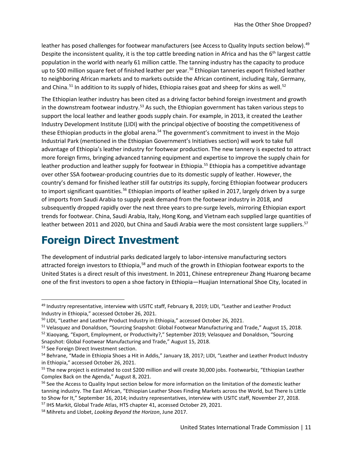leather has posed challenges for footwear manufacturers (see Access to Quality Inputs section below).<sup>[49](#page-10-1)</sup> Despite the inconsistent quality, it is the top cattle breeding nation in Africa and has the 6<sup>th</sup> largest cattle population in the world with nearly 61 million cattle. The tanning industry has the capacity to produce up to [50](#page-10-2)0 million square feet of finished leather per year.<sup>50</sup> Ethiopian tanneries export finished leather to neighboring African markets and to markets outside the African continent, including Italy, Germany, and China.<sup>[51](#page-10-3)</sup> In addition to its supply of hides, Ethiopia raises goat and sheep for skins as well.<sup>[52](#page-10-4)</sup>

The Ethiopian leather industry has been cited as a driving factor behind foreign investment and growth in the downstream footwear industry.<sup>[53](#page-10-5)</sup> As such, the Ethiopian government has taken various steps to support the local leather and leather goods supply chain. For example, in 2013, it created the Leather Industry Development Institute (LIDI) with the principal objective of boosting the competitiveness of these Ethiopian products in the global arena.<sup>[54](#page-10-6)</sup> The government's commitment to invest in the Mojo Industrial Park (mentioned in the Ethiopian Government's Initiatives section) will work to take full advantage of Ethiopia's leather industry for footwear production. The new tannery is expected to attract more foreign firms, bringing advanced tanning equipment and expertise to improve the supply chain for leather production and leather supply for footwear in Ethiopia.<sup>[55](#page-10-7)</sup> Ethiopia has a competitive advantage over other SSA footwear-producing countries due to its domestic supply of leather. However, the country's demand for finished leather still far outstrips its supply, forcing Ethiopian footwear producers to import significant quantities.<sup>[56](#page-10-8)</sup> Ethiopian imports of leather spiked in 2017, largely driven by a surge of imports from Saudi Arabia to supply peak demand from the footwear industry in 2018, and subsequently dropped rapidly over the next three years to pre-surge levels, mirroring Ethiopian export trends for footwear. China, Saudi Arabia, Italy, Hong Kong, and Vietnam each supplied large quantities of leather between 2011 and 2020, but China and Saudi Arabia were the most consistent large suppliers.<sup>[57](#page-10-9)</sup>

### **Foreign Direct Investment**

<span id="page-10-0"></span>The development of industrial parks dedicated largely to labor-intensive manufacturing sectors attracted foreign investors to Ethiopia,<sup>58</sup> and much of the growth in Ethiopian footwear exports to the United States is a direct result of this investment. In 2011, Chinese entrepreneur Zhang Huarong became one of the first investors to open a shoe factory in Ethiopia—Huajian International Shoe City, located in

<span id="page-10-1"></span><sup>&</sup>lt;sup>49</sup> Industry representative, interview with USITC staff, February 8, 2019; LIDI, "Leather and Leather Product Industry in Ethiopia," accessed October 26, 2021.

<span id="page-10-2"></span><sup>&</sup>lt;sup>50</sup> LIDI, "Leather and Leather Product Industry in Ethiopia," accessed October 26, 2021.

<span id="page-10-3"></span><sup>51</sup> Velasquez and Donaldson, "Sourcing Snapshot: Global Footwear Manufacturing and Trade," August 15, 2018.

<span id="page-10-4"></span><sup>52</sup> Xiaoyang, "Export, Employment, or Productivity?," September 2019; Velasquez and Donaldson, "Sourcing

Snapshot: Global Footwear Manufacturing and Trade," August 15, 2018.

<span id="page-10-5"></span><sup>53</sup> See Foreign Direct Investment section.

<span id="page-10-6"></span><sup>54</sup> Behrane, "Made in Ethiopia Shoes a Hit in Addis," January 18, 2017; LIDI, "Leather and Leather Product Industry in Ethiopia," accessed October 26, 2021.

<span id="page-10-7"></span><sup>&</sup>lt;sup>55</sup> The new project is estimated to cost \$200 million and will create 30,000 jobs. Footwearbiz, "Ethiopian Leather Complex Back on the Agenda," August 8, 2021.

<span id="page-10-8"></span><sup>&</sup>lt;sup>56</sup> See the Access to Quality Input section below for more information on the limitation of the domestic leather tanning industry. The East African, "Ethiopian Leather Shoes Finding Markets across the World, but There Is Little to Show for It," September 16, 2014; industry representatives, interview with USITC staff, November 27, 2018.

<span id="page-10-9"></span><sup>57</sup> IHS Markit, Global Trade Atlas, HTS chapter 41, accessed October 29, 2021.

<span id="page-10-10"></span><sup>58</sup> Mihretu and Llobet, *Looking Beyond the Horizon*, June 2017.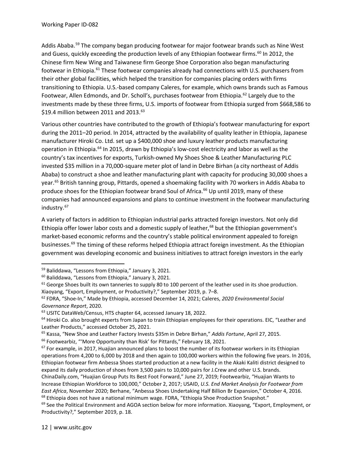Addis Ababa.<sup>[59](#page-11-0)</sup> The company began producing footwear for major footwear brands such as Nine West and Guess, quickly exceeding the production levels of any Ethiopian footwear firms.<sup>[60](#page-11-1)</sup> In 2012, the Chinese firm New Wing and Taiwanese firm George Shoe Corporation also began manufacturing footwear in Ethiopia.<sup>[61](#page-11-2)</sup> These footwear companies already had connections with U.S. purchasers from their other global facilities, which helped the transition for companies placing orders with firms transitioning to Ethiopia. U.S.-based company Caleres, for example, which owns brands such as Famous Footwear, Allen Edmonds, and Dr. Scholl's, purchases footwear from Ethiopia.<sup>[62](#page-11-3)</sup> Largely due to the investments made by these three firms, U.S. imports of footwear from Ethiopia surged from \$668,586 to \$19.4 million between 2011 and 2013. [63](#page-11-4)

Various other countries have contributed to the growth of Ethiopia's footwear manufacturing for export during the 2011–20 period. In 2014, attracted by the availability of quality leather in Ethiopia, Japanese manufacturer Hiroki Co. Ltd. set up a \$400,000 shoe and luxury leather products manufacturing operation in Ethiopia.<sup>[64](#page-11-5)</sup> In 2015, drawn by Ethiopia's low-cost electricity and labor as well as the country's tax incentives for exports, Turkish-owned My Shoes Shoe & Leather Manufacturing PLC invested \$35 million in a 70,000-square meter plot of land in Debre Birhan (a city northeast of Addis Ababa) to construct a shoe and leather manufacturing plant with capacity for producing 30,000 shoes a year.<sup>[65](#page-11-6)</sup> British tanning group, Pittards, opened a shoemaking facility with 70 workers in Addis Ababa to produce shoes for the Ethiopian footwear brand Soul of Africa.<sup>[66](#page-11-7)</sup> Up until 2019, many of these companies had announced expansions and plans to continue investment in the footwear manufacturing industry.<sup>[67](#page-11-8)</sup>

A variety of factors in addition to Ethiopian industrial parks attracted foreign investors. Not only did Ethiopia offer lower labor costs and a domestic supply of leather,<sup>[68](#page-11-9)</sup> but the Ethiopian government's market-based economic reforms and the country's stable political environment appealed to foreign businesses.[69](#page-11-10) The timing of these reforms helped Ethiopia attract foreign investment. As the Ethiopian government was developing economic and business initiatives to attract foreign investors in the early

<span id="page-11-0"></span><sup>59</sup> Baliddawa, "Lessons from Ethiopia," January 3, 2021.

<span id="page-11-1"></span><sup>60</sup> Baliddawa, "Lessons from Ethiopia," January 3, 2021.

<span id="page-11-2"></span> $61$  George Shoes built its own tanneries to supply 80 to 100 percent of the leather used in its shoe production. Xiaoyang, "Export, Employment, or Productivity?," September 2019, p. 7–8.

<span id="page-11-3"></span><sup>62</sup> FDRA, "Shoe-In," Made by Ethiopia, accessed December 14, 2021; Caleres, *2020 Environmental Social Governance Report*, 2020.

<span id="page-11-4"></span><sup>&</sup>lt;sup>63</sup> USITC DataWeb/Census, HTS chapter 64, accessed January 18, 2022.

<span id="page-11-5"></span><sup>&</sup>lt;sup>64</sup> Hiroki Co. also brought experts from Japan to train Ethiopian employees for their operations. EIC, "Leather and Leather Products," accessed October 25, 2021.

<span id="page-11-6"></span><sup>65</sup> Kassa, "New Shoe and Leather Factory Invests \$35m in Debre Birhan," *Addis Fortune*, April 27, 2015.

<span id="page-11-7"></span><sup>66</sup> Footwearbiz, "'More Opportunity than Risk' for Pittards," February 18, 2021.

<span id="page-11-8"></span> $67$  For example, in 2017, Huajian announced plans to boost the number of its footwear workers in its Ethiopian operations from 4,200 to 6,000 by 2018 and then again to 100,000 workers within the following five years. In 2016, Ethiopian footwear firm Anbessa Shoes started production at a new facility in the Akaki Kaliti district designed to expand its daily production of shoes from 3,500 pairs to 10,000 pairs for J.Crew and other U.S. brands. ChinaDaily.com, "Huajian Group Puts Its Best Foot Forward," June 27, 2019; Footwearbiz, "Huajian Wants to Increase Ethiopian Workforce to 100,000," October 2, 2017; USAID, *U.S. End Market Analysis for Footwear from East Africa*, November 2020; Berhane, "Anbessa Shoes Undertaking Half Billion Br Expansion," October 4, 2016.  $68$  Ethiopia does not have a national minimum wage. FDRA, "Ethiopia Shoe Production Snapshot."

<span id="page-11-10"></span><span id="page-11-9"></span> $69$  See the Political Environment and AGOA section below for more information. Xiaoyang, "Export, Employment, or Productivity?," September 2019, p. 18.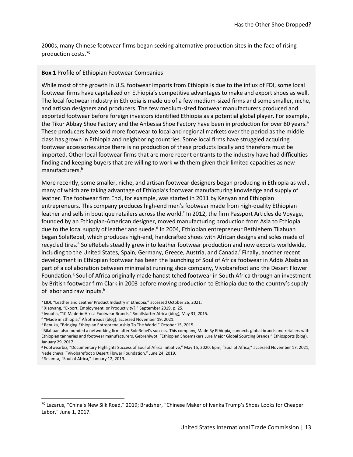2000s, many Chinese footwear firms began seeking alternative production sites in the face of rising production costs.[70](#page-12-0)

#### **Box 1** Profile of Ethiopian Footwear Companies

While most of the growth in U.S. footwear imports from Ethiopia is due to the influx of FDI, some local footwear firms have capitalized on Ethiopia's competitive advantages to make and export shoes as well. The local footwear industry in Ethiopia is made up of a few medium-sized firms and some smaller, niche, and artisan designers and producers. The few medium-sized footwear manufacturers produced and exported footwear before foreign investors identified Ethiopia as a potential global player. For example, the Tikur Abbay Shoe Factory and the Anbessa Shoe Factory have been in production for over 80 years.<sup>a</sup> These producers have sold more footwear to local and regional markets over the period as the middle class has grown in Ethiopia and neighboring countries. Some local firms have struggled acquiring footwear accessories since there is no production of these products locally and therefore must be imported. Other local footwear firms that are more recent entrants to the industry have had difficulties finding and keeping buyers that are willing to work with them given their limited capacities as new manufacturers.<sup>b</sup>

More recently, some smaller, niche, and artisan footwear designers began producing in Ethiopia as well, many of which are taking advantage of Ethiopia's footwear manufacturing knowledge and supply of leather. The footwear firm Enzi, for example, was started in 2011 by Kenyan and Ethiopian entrepreneurs. This company produces high-end men's footwear made from high-quality Ethiopian leather and sells in boutique retailers across the world.<sup>c</sup> In 2012, the firm Passport Articles de Voyage, founded by an Ethiopian-American designer, moved manufacturing production from Asia to Ethiopia due to the local supply of leather and suede. $d$  In 2004, Ethiopian entrepreneur Bethlehem Tilahuan began SoleRebel, which produces high-end, handcrafted shoes with African designs and soles made of recycled tires.<sup>e</sup> SoleRebels steadily grew into leather footwear production and now exports worldwide, including to the United States, Spain, Germany, Greece, Austria, and Canada.<sup>f</sup> Finally, another recent development in Ethiopian footwear has been the launching of Soul of Africa footwear in Addis Ababa as part of a collaboration between minimalist running shoe company, Vivobarefoot and the Desert Flower Foundation.<sup>g</sup> Soul of Africa originally made handstitched footwear in South Africa through an investment by British footwear firm Clark in 2003 before moving production to Ethiopia due to the country's supply of labor and raw inputs.<sup>h</sup>

- <sup>b</sup> Xiaoyang, "Export, Employment, or Productivity?," September 2019, p. 25.
- <sup>c</sup> Iwuoha, "10 Made-in-Africa Footwear Brands," Smallstarter Africa (blog), May 31, 2015.
- <sup>d</sup> "Made in Ethiopia," Afrothreads (blog), accessed November 19, 2021.
- <sup>e</sup> Renuka, "Bringing Ethiopian Entrepreneurship To The World," October 15, 2015.

<sup>g</sup> Footwearbiz, "Documentary Highlights Success of Soul of Africa Initiative," May 15, 2020; 6pm, "Soul of Africa," accessed November 17, 2021; Nedelcheva, "Vivobarefoot x Desert Flower Foundation," June 24, 2019.

<sup>&</sup>lt;sup>a</sup> LIDI, "Leather and Leather Product Industry in Ethiopia," accessed October 26, 2021.

<sup>f</sup> Bilahuan also founded a networking firm after SoleRebel's success. This company, Made By Ethiopia, connects global brands and retailers with Ethiopian tanneries and footwear manufacturers. Gebrehiwot, "Ethiopian Shoemakers Lure Major Global Sourcing Brands," Ethiosports (blog), January 29, 2017.

<sup>h</sup> Selamta, "Soul of Africa," January 12, 2019.

<span id="page-12-0"></span><sup>70</sup> Lazarus, "China's New Silk Road," 2019; Bradsher, "Chinese Maker of Ivanka Trump's Shoes Looks for Cheaper Labor," June 1, 2017.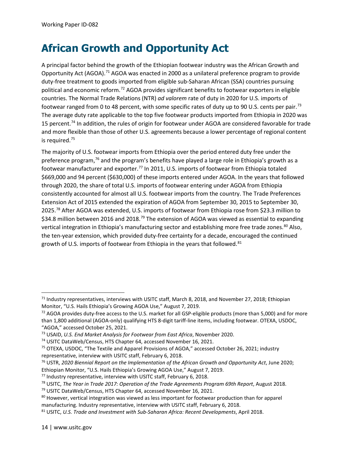## **African Growth and Opportunity Act**

A principal factor behind the growth of the Ethiopian footwear industry was the African Growth and Opportunity Act (AGOA).<sup>71</sup> AGOA was enacted in 2000 as a unilateral preference program to provide duty-free treatment to goods imported from eligible sub-Saharan African (SSA) countries pursuing political and economic reform.[72](#page-13-1) AGOA provides significant benefits to footwear exporters in eligible countries. The Normal Trade Relations (NTR) *ad valorem* rate of duty in 2020 for U.S. imports of footwear ranged from 0 to 48 percent, with some specific rates of duty up to 90 U.S. cents per pair.<sup>[73](#page-13-2)</sup> The average duty rate applicable to the top five footwear products imported from Ethiopia in 2020 was 15 percent.<sup>[74](#page-13-3)</sup> In addition, the rules of origin for footwear under AGOA are considered favorable for trade and more flexible than those of other U.S. agreements because a lower percentage of regional content is required.[75](#page-13-4)

The majority of U.S. footwear imports from Ethiopia over the period entered duty free under the preference program,<sup>[76](#page-13-5)</sup> and the program's benefits have played a large role in Ethiopia's growth as a footwear manufacturer and exporter.<sup>[77](#page-13-6)</sup> In 2011, U.S. imports of footwear from Ethiopia totaled \$669,000 and 94 percent (\$630,000) of these imports entered under AGOA. In the years that followed through 2020, the share of total U.S. imports of footwear entering under AGOA from Ethiopia consistently accounted for almost all U.S. footwear imports from the country. The Trade Preferences Extension Act of 2015 extended the expiration of AGOA from September 30, 2015 to September 30, 2025.[78](#page-13-7) After AGOA was extended, U.S. imports of footwear from Ethiopia rose from \$23.3 million to \$34.8 million between 2016 and 2018.<sup>[79](#page-13-8)</sup> The extension of AGOA was viewed as essential to expanding vertical integration in Ethiopia's manufacturing sector and establishing more free trade zones.<sup>[80](#page-13-9)</sup> Also, the ten-year extension, which provided duty-free certainty for a decade, encouraged the continued growth of U.S. imports of footwear from Ethiopia in the years that followed.<sup>[81](#page-13-10)</sup>

<span id="page-13-0"></span> $71$  Industry representatives, interviews with USITC staff, March 8, 2018, and November 27, 2018; Ethiopian Monitor, "U.S. Hails Ethiopia's Growing AGOA Use," August 7, 2019.

<span id="page-13-1"></span> $72$  AGOA provides duty-free access to the U.S. market for all GSP-eligible products (more than 5,000) and for more than 1,800 additional (AGOA-only) qualifying HTS 8-digit tariff-line items, including footwear. OTEXA, USDOC, "AGOA," accessed October 25, 2021.

<span id="page-13-2"></span><sup>73</sup> USAID, *U.S. End Market Analysis for Footwear from East Africa*, November 2020.

<span id="page-13-3"></span><sup>&</sup>lt;sup>74</sup> USITC DataWeb/Census, HTS Chapter 64, accessed November 16, 2021.

<span id="page-13-4"></span><sup>75</sup> OTEXA, USDOC, "The Textile and Apparel Provisions of AGOA," accessed October 26, 2021; industry representative, interview with USITC staff, February 6, 2018.

<span id="page-13-5"></span><sup>76</sup> USTR, *2020 Biennial Report on the Implementation of the African Growth and Opportunity Act*, June 2020; Ethiopian Monitor, "U.S. Hails Ethiopia's Growing AGOA Use," August 7, 2019.

<span id="page-13-6"></span><sup>77</sup> Industry representative, interview with USITC staff, February 6, 2018.

<span id="page-13-7"></span><sup>78</sup> USITC, *The Year in Trade 2017: Operation of the Trade Agreements Program 69th Report*, August 2018.

<span id="page-13-8"></span><sup>79</sup> USITC DataWeb/Census, HTS Chapter 64, accessed November 16, 2021.

<span id="page-13-9"></span><sup>&</sup>lt;sup>80</sup> However, vertical integration was viewed as less important for footwear production than for apparel manufacturing. Industry representative, interview with USITC staff, February 6, 2018.

<span id="page-13-10"></span><sup>81</sup> USITC, *U.S. Trade and Investment with Sub-Saharan Africa: Recent Developments*, April 2018.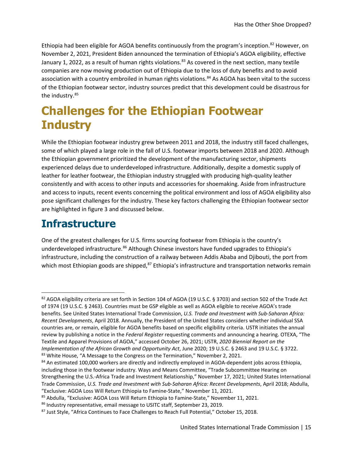Ethiopia had been eligible for AGOA benefits continuously from the program's inception.<sup>[82](#page-14-0)</sup> However, on November 2, 2021, President Biden announced the termination of Ethiopia's AGOA eligibility, effective January 1, 2022, as a result of human rights violations.<sup>[83](#page-14-1)</sup> As covered in the next section, many textile companies are now moving production out of Ethiopia due to the loss of duty benefits and to avoid association with a country embroiled in human rights violations.<sup>[84](#page-14-2)</sup> As AGOA has been vital to the success of the Ethiopian footwear sector, industry sources predict that this development could be disastrous for the industry.<sup>85</sup>

# **Challenges for the Ethiopian Footwear Industry**

While the Ethiopian footwear industry grew between 2011 and 2018, the industry still faced challenges, some of which played a large role in the fall of U.S. footwear imports between 2018 and 2020. Although the Ethiopian government prioritized the development of the manufacturing sector, shipments experienced delays due to underdeveloped infrastructure. Additionally, despite a domestic supply of leather for leather footwear, the Ethiopian industry struggled with producing high-quality leather consistently and with access to other inputs and accessories for shoemaking. Aside from infrastructure and access to inputs, recent events concerning the political environment and loss of AGOA eligibility also pose significant challenges for the industry. These key factors challenging the Ethiopian footwear sector are highlighted in figure 3 and discussed below.

### **Infrastructure**

One of the greatest challenges for U.S. firms sourcing footwear from Ethiopia is the country's underdeveloped infrastructure.<sup>[86](#page-14-4)</sup> Although Chinese investors have funded upgrades to Ethiopia's infrastructure, including the construction of a railway between Addis Ababa and Djibouti, the port from which most Ethiopian goods are shipped,<sup>[87](#page-14-5)</sup> Ethiopia's infrastructure and transportation networks remain

<span id="page-14-0"></span><sup>82</sup> AGOA eligibility criteria are set forth in Section 104 of AGOA (19 U.S.C. § 3703) and section 502 of the Trade Act of 1974 (19 U.S.C. § 2463). Countries must be GSP eligible as well as AGOA eligible to receive AGOA's trade benefits. See United States International Trade Commission, *U.S. Trade and Investment with Sub-Saharan Africa: Recent Developments*, April 2018. Annually, the President of the United States considers whether individual SSA countries are, or remain, eligible for AGOA benefits based on specific eligibility criteria. USTR initiates the annual review by publishing a notice in the *Federal Register* requesting comments and announcing a hearing. OTEXA, "The Textile and Apparel Provisions of AGOA," accessed October 26, 2021; USTR, *2020 Biennial Report on the Implementation of the African Growth and Opportunity Act*, June 2020; 19 U.S.C. § 2463 and 19 U.S.C. § 3722. 83 White House, "A Message to the Congress on the Termination," November 2, 2021.

<span id="page-14-2"></span><span id="page-14-1"></span><sup>84</sup> An estimated 100,000 workers are directly and indirectly employed in AGOA-dependent jobs across Ethiopia, including those in the footwear industry. Ways and Means Committee, "Trade Subcommittee Hearing on Strengthening the U.S.-Africa Trade and Investment Relationship," November 17, 2021; United States International Trade Commission, *U.S. Trade and Investment with Sub-Saharan Africa: Recent Developments*, April 2018; Abdulla, "Exclusive: AGOA Loss Will Return Ethiopia to Famine-State," November 11, 2021.

<span id="page-14-3"></span><sup>85</sup> Abdulla, "Exclusive: AGOA Loss Will Return Ethiopia to Famine-State," November 11, 2021.

<span id="page-14-4"></span><sup>86</sup> Industry representative, email message to USITC staff, September 23, 2019.

<span id="page-14-5"></span><sup>87</sup> Just Style, "Africa Continues to Face Challenges to Reach Full Potential," October 15, 2018.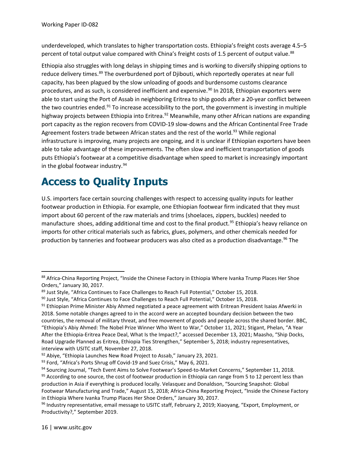underdeveloped, which translates to higher transportation costs. Ethiopia's freight costs average 4.5–5 percent of total output value compared with China's freight costs of 1.5 percent of output value.<sup>[88](#page-15-0)</sup>

Ethiopia also struggles with long delays in shipping times and is working to diversify shipping options to reduce delivery times.<sup>[89](#page-15-1)</sup> The overburdened port of Djibouti, which reportedly operates at near full capacity, has been plagued by the slow unloading of goods and burdensome customs clearance procedures, and as such, is considered inefficient and expensive.<sup>[90](#page-15-2)</sup> In 2018, Ethiopian exporters were able to start using the Port of Assab in neighboring Eritrea to ship goods after a 20-year conflict between the two countries ended.<sup>[91](#page-15-3)</sup> To increase accessibility to the port, the government is investing in multiple highway projects between Ethiopia into Eritrea.<sup>[92](#page-15-4)</sup> Meanwhile, many other African nations are expanding port capacity as the region recovers from COVID-19 slow-downs and the African Continental Free Trade Agreement fosters trade between African states and the rest of the world.<sup>[93](#page-15-5)</sup> While regional infrastructure is improving, many projects are ongoing, and it is unclear if Ethiopian exporters have been able to take advantage of these improvements. The often slow and inefficient transportation of goods puts Ethiopia's footwear at a competitive disadvantage when speed to market is increasingly important in the global footwear industry. $94$ 

## **Access to Quality Inputs**

U.S. importers face certain sourcing challenges with respect to accessing quality inputs for leather footwear production in Ethiopia. For example, one Ethiopian footwear firm indicated that they must import about 60 percent of the raw materials and trims (shoelaces, zippers, buckles) needed to manufacture shoes, adding additional time and cost to the final product.<sup>[95](#page-15-7)</sup> Ethiopia's heavy reliance on imports for other critical materials such as fabrics, glues, polymers, and other chemicals needed for production by tanneries and footwear producers was also cited as a production disadvantage.<sup>[96](#page-15-8)</sup> The

<span id="page-15-0"></span><sup>88</sup> Africa-China Reporting Project, "Inside the Chinese Factory in Ethiopia Where Ivanka Trump Places Her Shoe Orders," January 30, 2017.

<span id="page-15-1"></span><sup>89</sup> Just Style, "Africa Continues to Face Challenges to Reach Full Potential," October 15, 2018.

<span id="page-15-2"></span><sup>90</sup> Just Style, "Africa Continues to Face Challenges to Reach Full Potential," October 15, 2018.

<span id="page-15-3"></span><sup>&</sup>lt;sup>91</sup> Ethiopian Prime Minister Abiy Ahmed negotiated a peace agreement with Eritrean President Isaias Afwerki in 2018. Some notable changes agreed to in the accord were an accepted boundary decision between the two countries, the removal of military threat, and free movement of goods and people across the shared border. BBC, "Ethiopia's Abiy Ahmed: The Nobel Prize Winner Who Went to War," October 11, 2021; Stigant, Phelan, "A Year After the Ethiopia-Eritrea Peace Deal, What Is the Impact?," accessed December 13, 2021; Maasho, "Ship Docks, Road Upgrade Planned as Eritrea, Ethiopia Ties Strengthen," September 5, 2018; industry representatives, interview with USITC staff, November 27, 2018.

<span id="page-15-4"></span><sup>92</sup> Abiye, "Ethiopia Launches New Road Project to Assab," January 23, 2021.

<span id="page-15-5"></span><sup>93</sup> Ford, "Africa's Ports Shrug off Covid-19 and Suez Crisis," May 6, 2021.

<span id="page-15-7"></span><span id="page-15-6"></span><sup>94</sup> Sourcing Journal, "Tech Event Aims to Solve Footwear's Speed-to-Market Concerns," September 11, 2018. <sup>95</sup> According to one source, the cost of footwear production in Ethiopia can range from 5 to 12 percent less than production in Asia if everything is produced locally. Velasquez and Donaldson, "Sourcing Snapshot: Global Footwear Manufacturing and Trade," August 15, 2018; Africa-China Reporting Project, "Inside the Chinese Factory in Ethiopia Where Ivanka Trump Places Her Shoe Orders," January 30, 2017.

<span id="page-15-8"></span><sup>96</sup> Industry representative, email message to USITC staff, February 2, 2019; Xiaoyang, "Export, Employment, or Productivity?," September 2019.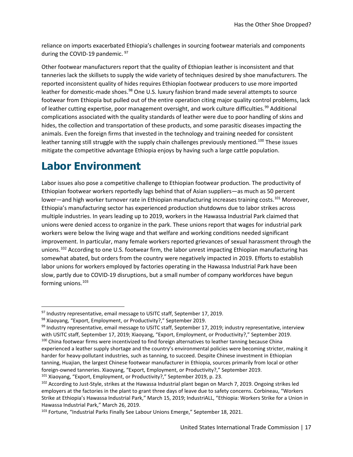reliance on imports exacerbated Ethiopia's challenges in sourcing footwear materials and components during the COVID-19 pandemic. <sup>[97](#page-16-0)</sup>

Other footwear manufacturers report that the quality of Ethiopian leather is inconsistent and that tanneries lack the skillsets to supply the wide variety of techniques desired by shoe manufacturers. The reported inconsistent quality of hides requires Ethiopian footwear producers to use more imported leather for domestic-made shoes.<sup>[98](#page-16-1)</sup> One U.S. luxury fashion brand made several attempts to source footwear from Ethiopia but pulled out of the entire operation citing major quality control problems, lack of leather cutting expertise, poor management oversight, and work culture difficulties.<sup>[99](#page-16-2)</sup> Additional complications associated with the quality standards of leather were due to poor handling of skins and hides, the collection and transportation of these products, and some parasitic diseases impacting the animals. Even the foreign firms that invested in the technology and training needed for consistent leather tanning still struggle with the supply chain challenges previously mentioned.<sup>[100](#page-16-3)</sup> These issues mitigate the competitive advantage Ethiopia enjoys by having such a large cattle population.

### **Labor Environment**

Labor issues also pose a competitive challenge to Ethiopian footwear production. The productivity of Ethiopian footwear workers reportedly lags behind that of Asian suppliers—as much as 50 percent lower—and high worker turnover rate in Ethiopian manufacturing increases training costs.<sup>[101](#page-16-4)</sup> Moreover, Ethiopia's manufacturing sector has experienced production shutdowns due to labor strikes across multiple industries. In years leading up to 2019, workers in the Hawassa Industrial Park claimed that unions were denied access to organize in the park. These unions report that wages for industrial park workers were below the living wage and that welfare and working conditions needed significant improvement. In particular, many female workers reported grievances of sexual harassment through the unions. [102](#page-16-5) According to one U.S. footwear firm, the labor unrest impacting Ethiopian manufacturing has somewhat abated, but orders from the country were negatively impacted in 2019. Efforts to establish labor unions for workers employed by factories operating in the Hawassa Industrial Park have been slow, partly due to COVID-19 disruptions, but a small number of company workforces have begun forming unions.<sup>[103](#page-16-6)</sup>

<span id="page-16-0"></span><sup>97</sup> Industry representative, email message to USITC staff, September 17, 2019.

<span id="page-16-1"></span><sup>98</sup> Xiaoyang, "Export, Employment, or Productivity?," September 2019.

<span id="page-16-3"></span><span id="page-16-2"></span> $99$  Industry representative, email message to USITC staff, September 17, 2019; industry representative, interview with USITC staff, September 17, 2019; Xiaoyang, "Export, Employment, or Productivity?," September 2019. <sup>100</sup> China footwear firms were incentivized to find foreign alternatives to leather tanning because China experienced a leather supply shortage and the country's environmental policies were becoming stricter, making it harder for heavy-pollutant industries, such as tanning, to succeed. Despite Chinese investment in Ethiopian tanning, Huajian, the largest Chinese footwear manufacturer in Ethiopia, sources primarily from local or other foreign-owned tanneries. Xiaoyang, "Export, Employment, or Productivity?," September 2019.

<span id="page-16-4"></span><sup>&</sup>lt;sup>101</sup> Xiaoyang, "Export, Employment, or Productivity?," September 2019, p. 23.

<span id="page-16-5"></span><sup>&</sup>lt;sup>102</sup> According to Just-Style, strikes at the Hawassa Industrial plant began on March 7, 2019. Ongoing strikes led employers at the factories in the plant to grant three days of leave due to safety concerns. Corbineau, "Workers Strike at Ethiopia's Hawassa Industrial Park," March 15, 2019; IndustriALL, "Ethiopia: Workers Strike for a Union in Hawassa Industrial Park," March 26, 2019.

<span id="page-16-6"></span><sup>103</sup> Fortune, "Industrial Parks Finally See Labour Unions Emerge," September 18, 2021.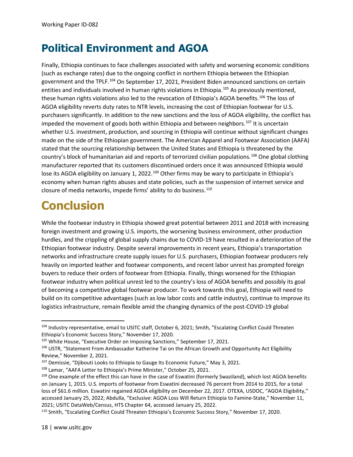## **Political Environment and AGOA**

Finally, Ethiopia continues to face challenges associated with safety and worsening economic conditions (such as exchange rates) due to the ongoing conflict in northern Ethiopia between the Ethiopian government and the TPLF.[104](#page-17-0) On September 17, 2021, President Biden announced sanctions on certain entities and individuals involved in human rights violations in Ethiopia.<sup>[105](#page-17-1)</sup> As previously mentioned, these human rights violations also led to the revocation of Ethiopia's AGOA benefits.<sup>[106](#page-17-2)</sup> The loss of AGOA eligibility reverts duty rates to NTR levels, increasing the cost of Ethiopian footwear for U.S. purchasers significantly. In addition to the new sanctions and the loss of AGOA eligibility, the conflict has impeded the movement of goods both within Ethiopia and between neighbors.<sup>[107](#page-17-3)</sup> It is uncertain whether U.S. investment, production, and sourcing in Ethiopia will continue without significant changes made on the side of the Ethiopian government. The American Apparel and Footwear Association (AAFA) stated that the sourcing relationship between the United States and Ethiopia is threatened by the country's block of humanitarian aid and reports of terrorized civilian populations.[108](#page-17-4) One global clothing manufacturer reported that its customers discontinued orders once it was announced Ethiopia would lose its AGOA eligibility on January 1, 2022.<sup>[109](#page-17-5)</sup> Other firms may be wary to participate in Ethiopia's economy when human rights abuses and state policies, such as the suspension of internet service and closure of media networks, impede firms' ability to do business.<sup>[110](#page-17-6)</sup>

# **Conclusion**

While the footwear industry in Ethiopia showed great potential between 2011 and 2018 with increasing foreign investment and growing U.S. imports, the worsening business environment, other production hurdles, and the crippling of global supply chains due to COVID-19 have resulted in a deterioration of the Ethiopian footwear industry. Despite several improvements in recent years, Ethiopia's transportation networks and infrastructure create supply issues for U.S. purchasers, Ethiopian footwear producers rely heavily on imported leather and footwear components, and recent labor unrest has prompted foreign buyers to reduce their orders of footwear from Ethiopia. Finally, things worsened for the Ethiopian footwear industry when political unrest led to the country's loss of AGOA benefits and possibly its goal of becoming a competitive global footwear producer. To work towards this goal, Ethiopia will need to build on its competitive advantages (such as low labor costs and cattle industry), continue to improve its logistics infrastructure, remain flexible amid the changing dynamics of the post-COVID-19 global

<span id="page-17-0"></span><sup>104</sup> Industry representative, email to USITC staff, October 6, 2021; Smith, "Escalating Conflict Could Threaten Ethiopia's Economic Success Story," November 17, 2020.

<span id="page-17-1"></span><sup>&</sup>lt;sup>105</sup> White House, "Executive Order on Imposing Sanctions," September 17, 2021.

<span id="page-17-2"></span><sup>106</sup> USTR, "Statement From Ambassador Katherine Tai on the African Growth and Opportunity Act Eligibility Review," November 2, 2021.

<span id="page-17-3"></span><sup>&</sup>lt;sup>107</sup> Demissie, "Djibouti Looks to Ethiopia to Gauge Its Economic Future," May 3, 2021.

<span id="page-17-4"></span><sup>108</sup> Lamar, "AAFA Letter to Ethiopia's Prime Minister," October 25, 2021.

<span id="page-17-5"></span><sup>109</sup> One example of the effect this can have in the case of Eswatini (formerly Swaziland), which lost AGOA benefits on January 1, 2015. U.S. imports of footwear from Eswatini decreased 76 percent from 2014 to 2015, for a total loss of \$61.6 million. Eswatini regained AGOA eligibility on December 22, 2017. OTEXA, USDOC, "AGOA Eligibility," accessed January 25, 2022; Abdulla, "Exclusive: AGOA Loss Will Return Ethiopia to Famine-State," November 11, 2021; USITC DataWeb/Census, HTS Chapter 64, accessed January 25, 2022.

<span id="page-17-6"></span><sup>110</sup> Smith, "Escalating Conflict Could Threaten Ethiopia's Economic Success Story," November 17, 2020.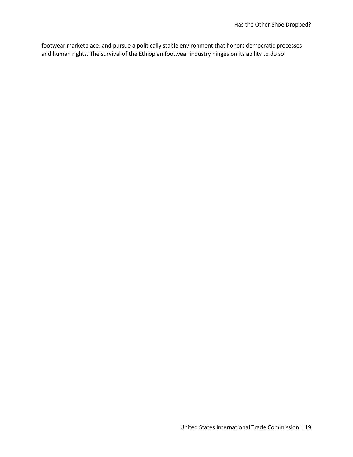footwear marketplace, and pursue a politically stable environment that honors democratic processes and human rights. The survival of the Ethiopian footwear industry hinges on its ability to do so.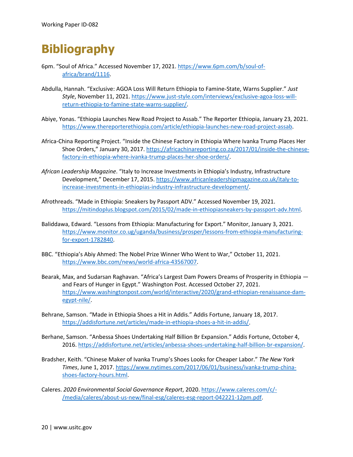# **Bibliography**

- 6pm. "Soul of Africa." Accessed November 17, 2021[. https://www.6pm.com/b/soul-of](https://www.6pm.com/b/soul-of-africa/brand/1116)[africa/brand/1116.](https://www.6pm.com/b/soul-of-africa/brand/1116)
- Abdulla, Hannah. "Exclusive: AGOA Loss Will Return Ethiopia to Famine-State, Warns Supplier." *Just Style*, November 11, 2021. [https://www.just-style.com/interviews/exclusive-agoa-loss-will](https://www.just-style.com/interviews/exclusive-agoa-loss-will-return-ethiopia-to-famine-state-warns-supplier/)[return-ethiopia-to-famine-state-warns-supplier/.](https://www.just-style.com/interviews/exclusive-agoa-loss-will-return-ethiopia-to-famine-state-warns-supplier/)
- Abiye, Yonas. "Ethiopia Launches New Road Project to Assab." The Reporter Ethiopia, January 23, 2021. [https://www.thereporterethiopia.com/article/ethiopia-launches-new-road-project-assab.](https://www.thereporterethiopia.com/article/ethiopia-launches-new-road-project-assab)
- Africa-China Reporting Project. "Inside the Chinese Factory in Ethiopia Where Ivanka Trump Places Her Shoe Orders," January 30, 2017. [https://africachinareporting.co.za/2017/01/inside-the-chinese](https://africachinareporting.co.za/2017/01/inside-the-chinese-factory-in-ethiopia-where-ivanka-trump-places-her-shoe-orders/)[factory-in-ethiopia-where-ivanka-trump-places-her-shoe-orders/.](https://africachinareporting.co.za/2017/01/inside-the-chinese-factory-in-ethiopia-where-ivanka-trump-places-her-shoe-orders/)
- *African Leadership Magazine*. "Italy to Increase Investments in Ethiopia's Industry, Infrastructure Development," December 17, 2015. [https://www.africanleadershipmagazine.co.uk/italy-to](https://www.africanleadershipmagazine.co.uk/italy-to-increase-investments-in-ethiopias-industry-infrastructure-development/)[increase-investments-in-ethiopias-industry-infrastructure-development/.](https://www.africanleadershipmagazine.co.uk/italy-to-increase-investments-in-ethiopias-industry-infrastructure-development/)
- Afrothreads. "Made in Ethiopia: Sneakers by Passport ADV." Accessed November 19, 2021. [https://mitindoplus.blogspot.com/2015/02/made-in-ethiopiasneakers-by-passport-adv.html.](https://mitindoplus.blogspot.com/2015/02/made-in-ethiopiasneakers-by-passport-adv.html)
- Baliddawa, Edward. "Lessons from Ethiopia: Manufacturing for Export." Monitor, January 3, 2021. [https://www.monitor.co.ug/uganda/business/prosper/lessons-from-ethiopia-manufacturing](https://www.monitor.co.ug/uganda/business/prosper/lessons-from-ethiopia-manufacturing-for-export-1782840)[for-export-1782840.](https://www.monitor.co.ug/uganda/business/prosper/lessons-from-ethiopia-manufacturing-for-export-1782840)
- BBC. "Ethiopia's Abiy Ahmed: The Nobel Prize Winner Who Went to War," October 11, 2021. [https://www.bbc.com/news/world-africa-43567007.](https://www.bbc.com/news/world-africa-43567007)
- Bearak, Max, and Sudarsan Raghavan. "Africa's Largest Dam Powers Dreams of Prosperity in Ethiopia and Fears of Hunger in Egypt." Washington Post. Accessed October 27, 2021. [https://www.washingtonpost.com/world/interactive/2020/grand-ethiopian-renaissance-dam](https://www.washingtonpost.com/world/interactive/2020/grand-ethiopian-renaissance-dam-egypt-nile/)[egypt-nile/.](https://www.washingtonpost.com/world/interactive/2020/grand-ethiopian-renaissance-dam-egypt-nile/)
- Behrane, Samson. "Made in Ethiopia Shoes a Hit in Addis." Addis Fortune, January 18, 2017. [https://addisfortune.net/articles/made-in-ethiopia-shoes-a-hit-in-addis/.](https://addisfortune.net/articles/made-in-ethiopia-shoes-a-hit-in-addis/)
- Berhane, Samson. "Anbessa Shoes Undertaking Half Billion Br Expansion." Addis Fortune, October 4, 2016[. https://addisfortune.net/articles/anbessa-shoes-undertaking-half-billion-br-expansion/.](https://addisfortune.net/articles/anbessa-shoes-undertaking-half-billion-br-expansion/)
- Bradsher, Keith. "Chinese Maker of Ivanka Trump's Shoes Looks for Cheaper Labor." *The New York Times*, June 1, 2017[. https://www.nytimes.com/2017/06/01/business/ivanka-trump-china](https://www.nytimes.com/2017/06/01/business/ivanka-trump-china-shoes-factory-hours.html)[shoes-factory-hours.html.](https://www.nytimes.com/2017/06/01/business/ivanka-trump-china-shoes-factory-hours.html)
- Caleres. *2020 Environmental Social Governance Report*, 2020. [https://www.caleres.com/c/-](https://www.caleres.com/c/-/media/caleres/about-us-new/final-esg/caleres-esg-report-042221-12pm.pdf) [/media/caleres/about-us-new/final-esg/caleres-esg-report-042221-12pm.pdf.](https://www.caleres.com/c/-/media/caleres/about-us-new/final-esg/caleres-esg-report-042221-12pm.pdf)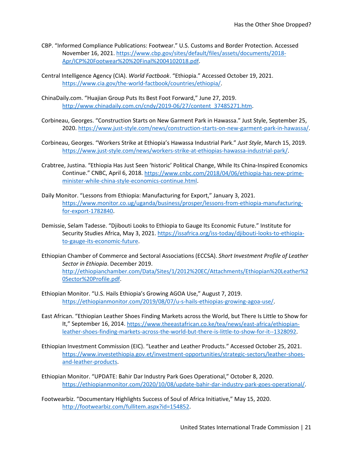- CBP. "Informed Compliance Publications: Footwear." U.S. Customs and Border Protection. Accessed November 16, 2021[. https://www.cbp.gov/sites/default/files/assets/documents/2018-](https://www.cbp.gov/sites/default/files/assets/documents/2018-Apr/ICP%20Footwear%20%20Final%2004102018.pdf) [Apr/ICP%20Footwear%20%20Final%2004102018.pdf.](https://www.cbp.gov/sites/default/files/assets/documents/2018-Apr/ICP%20Footwear%20%20Final%2004102018.pdf)
- Central Intelligence Agency (CIA). *World Factbook*. "Ethiopia." Accessed October 19, 2021. [https://www.cia.gov/the-world-factbook/countries/ethiopia/.](https://www.cia.gov/the-world-factbook/countries/ethiopia/)
- ChinaDaily.com. "Huajian Group Puts Its Best Foot Forward," June 27, 2019. [http://www.chinadaily.com.cn/cndy/2019-06/27/content\\_37485271.htm.](http://www.chinadaily.com.cn/cndy/2019-06/27/content_37485271.htm)
- Corbineau, Georges. "Construction Starts on New Garment Park in Hawassa." Just Style, September 25, 2020[. https://www.just-style.com/news/construction-starts-on-new-garment-park-in-hawassa/.](https://www.just-style.com/news/construction-starts-on-new-garment-park-in-hawassa/)
- Corbineau, Georges. "Workers Strike at Ethiopia's Hawassa Industrial Park." *Just Style*, March 15, 2019. [https://www.just-style.com/news/workers-strike-at-ethiopias-hawassa-industrial-park/.](https://www.just-style.com/news/workers-strike-at-ethiopias-hawassa-industrial-park/)
- Crabtree, Justina. "Ethiopia Has Just Seen 'historic' Political Change, While Its China-Inspired Economics Continue." CNBC, April 6, 2018[. https://www.cnbc.com/2018/04/06/ethiopia-has-new-prime](https://www.cnbc.com/2018/04/06/ethiopia-has-new-prime-minister-while-china-style-economics-continue.html)[minister-while-china-style-economics-continue.html.](https://www.cnbc.com/2018/04/06/ethiopia-has-new-prime-minister-while-china-style-economics-continue.html)
- Daily Monitor. "Lessons from Ethiopia: Manufacturing for Export," January 3, 2021. [https://www.monitor.co.ug/uganda/business/prosper/lessons-from-ethiopia-manufacturing](https://www.monitor.co.ug/uganda/business/prosper/lessons-from-ethiopia-manufacturing-for-export-1782840)[for-export-1782840.](https://www.monitor.co.ug/uganda/business/prosper/lessons-from-ethiopia-manufacturing-for-export-1782840)
- Demissie, Selam Tadesse. "Djibouti Looks to Ethiopia to Gauge Its Economic Future." Institute for Security Studies Africa, May 3, 2021. [https://issafrica.org/iss-today/djibouti-looks-to-ethiopia](https://issafrica.org/iss-today/djibouti-looks-to-ethiopia-to-gauge-its-economic-future)[to-gauge-its-economic-future.](https://issafrica.org/iss-today/djibouti-looks-to-ethiopia-to-gauge-its-economic-future)
- Ethiopian Chamber of Commerce and Sectoral Associations (ECCSA). *Short Investment Profile of Leather Sector in Ethiopia*. December 2019. [http://ethiopianchamber.com/Data/Sites/1/2012%20EC/Attachments/Ethiopian%20Leather%2](http://ethiopianchamber.com/Data/Sites/1/2012%20EC/Attachments/Ethiopian%20Leather%20Sector%20Profile.pdf) [0Sector%20Profile.pdf.](http://ethiopianchamber.com/Data/Sites/1/2012%20EC/Attachments/Ethiopian%20Leather%20Sector%20Profile.pdf)
- Ethiopian Monitor. "U.S. Hails Ethiopia's Growing AGOA Use," August 7, 2019. [https://ethiopianmonitor.com/2019/08/07/u-s-hails-ethiopias-growing-agoa-use/.](https://ethiopianmonitor.com/2019/08/07/u-s-hails-ethiopias-growing-agoa-use/)
- East African. "Ethiopian Leather Shoes Finding Markets across the World, but There Is Little to Show for It," September 16, 2014. [https://www.theeastafrican.co.ke/tea/news/east-africa/ethiopian](https://www.theeastafrican.co.ke/tea/news/east-africa/ethiopian-leather-shoes-finding-markets-across-the-world-but-there-is-little-to-show-for-it--1328092)[leather-shoes-finding-markets-across-the-world-but-there-is-little-to-show-for-it--1328092.](https://www.theeastafrican.co.ke/tea/news/east-africa/ethiopian-leather-shoes-finding-markets-across-the-world-but-there-is-little-to-show-for-it--1328092)
- Ethiopian Investment Commission (EIC). "Leather and Leather Products." Accessed October 25, 2021. [https://www.investethiopia.gov.et/investment-opportunities/strategic-sectors/leather-shoes](https://www.investethiopia.gov.et/investment-opportunities/strategic-sectors/leather-shoes-and-leather-products)[and-leather-products.](https://www.investethiopia.gov.et/investment-opportunities/strategic-sectors/leather-shoes-and-leather-products)
- Ethiopian Monitor. "UPDATE: Bahir Dar Industry Park Goes Operational," October 8, 2020. [https://ethiopianmonitor.com/2020/10/08/update-bahir-dar-industry-park-goes-operational/.](https://ethiopianmonitor.com/2020/10/08/update-bahir-dar-industry-park-goes-operational/)
- Footwearbiz. "Documentary Highlights Success of Soul of Africa Initiative," May 15, 2020. [http://footwearbiz.com/fullitem.aspx?id=154852.](http://footwearbiz.com/fullitem.aspx?id=154852)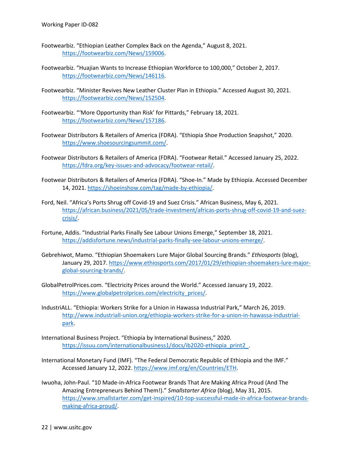- Footwearbiz. "Ethiopian Leather Complex Back on the Agenda," August 8, 2021. [https://footwearbiz.com/News/159006.](https://footwearbiz.com/News/159006)
- Footwearbiz. "Huajian Wants to Increase Ethiopian Workforce to 100,000," October 2, 2017. [https://footwearbiz.com/News/146116.](https://footwearbiz.com/News/146116)
- Footwearbiz. "Minister Revives New Leather Cluster Plan in Ethiopia." Accessed August 30, 2021. [https://footwearbiz.com/News/152504.](https://footwearbiz.com/News/152504)
- Footwearbiz. "'More Opportunity than Risk' for Pittards," February 18, 2021. [https://footwearbiz.com/News/157186.](https://footwearbiz.com/News/157186)
- Footwear Distributors & Retailers of America (FDRA). "Ethiopia Shoe Production Snapshot," 2020. [https://www.shoesourcingsummit.com/.](https://www.shoesourcingsummit.com/)
- Footwear Distributors & Retailers of America (FDRA). "Footwear Retail." Accessed January 25, 2022. [https://fdra.org/key-issues-and-advocacy/footwear-retail/.](https://fdra.org/key-issues-and-advocacy/footwear-retail/)
- Footwear Distributors & Retailers of America (FDRA). "Shoe-In." Made by Ethiopia. Accessed December 14, 2021. [https://shoeinshow.com/tag/made-by-ethiopia/.](https://shoeinshow.com/tag/made-by-ethiopia/)
- Ford, Neil. "Africa's Ports Shrug off Covid-19 and Suez Crisis." African Business, May 6, 2021. [https://african.business/2021/05/trade-investment/africas-ports-shrug-off-covid-19-and-suez](https://african.business/2021/05/trade-investment/africas-ports-shrug-off-covid-19-and-suez-crisis/)[crisis/.](https://african.business/2021/05/trade-investment/africas-ports-shrug-off-covid-19-and-suez-crisis/)
- Fortune, Addis. "Industrial Parks Finally See Labour Unions Emerge," September 18, 2021. [https://addisfortune.news/industrial-parks-finally-see-labour-unions-emerge/.](https://addisfortune.news/industrial-parks-finally-see-labour-unions-emerge/)
- Gebrehiwot, Mamo. "Ethiopian Shoemakers Lure Major Global Sourcing Brands." *Ethiosports* (blog), January 29, 2017. [https://www.ethiosports.com/2017/01/29/ethiopian-shoemakers-lure-major](https://www.ethiosports.com/2017/01/29/ethiopian-shoemakers-lure-major-global-sourcing-brands/)[global-sourcing-brands/.](https://www.ethiosports.com/2017/01/29/ethiopian-shoemakers-lure-major-global-sourcing-brands/)
- GlobalPetrolPrices.com. "Electricity Prices around the World." Accessed January 19, 2022. [https://www.globalpetrolprices.com/electricity\\_prices/.](https://www.globalpetrolprices.com/electricity_prices/)
- IndustriALL. "Ethiopia: Workers Strike for a Union in Hawassa Industrial Park," March 26, 2019. [http://www.industriall-union.org/ethiopia-workers-strike-for-a-union-in-hawassa-industrial](http://www.industriall-union.org/ethiopia-workers-strike-for-a-union-in-hawassa-industrial-park)[park.](http://www.industriall-union.org/ethiopia-workers-strike-for-a-union-in-hawassa-industrial-park)
- International Business Project. "Ethiopia by International Business," 2020. [https://issuu.com/internationalbusiness1/docs/ib2020-ethiopia\\_print2\\_.](https://issuu.com/internationalbusiness1/docs/ib2020-ethiopia_print2_)
- International Monetary Fund (IMF). "The Federal Democratic Republic of Ethiopia and the IMF." Accessed January 12, 2022. [https://www.imf.org/en/Countries/ETH.](https://www.imf.org/en/Countries/ETH)
- Iwuoha, John-Paul. "10 Made-in-Africa Footwear Brands That Are Making Africa Proud (And The Amazing Entrepreneurs Behind Them!)." *Smallstarter Africa* (blog), May 31, 2015. [https://www.smallstarter.com/get-inspired/10-top-successful-made-in-africa-footwear-brands](https://www.smallstarter.com/get-inspired/10-top-successful-made-in-africa-footwear-brands-making-africa-proud/)[making-africa-proud/.](https://www.smallstarter.com/get-inspired/10-top-successful-made-in-africa-footwear-brands-making-africa-proud/)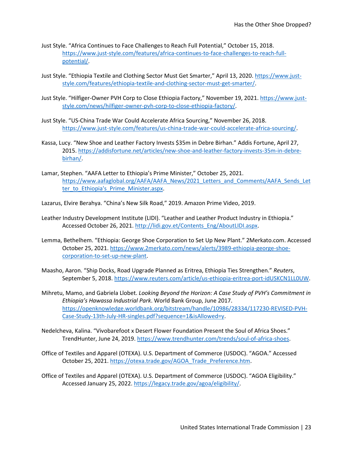- Just Style. "Africa Continues to Face Challenges to Reach Full Potential," October 15, 2018. [https://www.just-style.com/features/africa-continues-to-face-challenges-to-reach-full](https://www.just-style.com/features/africa-continues-to-face-challenges-to-reach-full-potential/)[potential/.](https://www.just-style.com/features/africa-continues-to-face-challenges-to-reach-full-potential/)
- Just Style. "Ethiopia Textile and Clothing Sector Must Get Smarter," April 13, 2020. [https://www.just](https://www.just-style.com/features/ethiopia-textile-and-clothing-sector-must-get-smarter/)[style.com/features/ethiopia-textile-and-clothing-sector-must-get-smarter/.](https://www.just-style.com/features/ethiopia-textile-and-clothing-sector-must-get-smarter/)
- Just Style. "Hilfiger-Owner PVH Corp to Close Ethiopia Factory," November 19, 2021. [https://www.just](https://www.just-style.com/news/hilfiger-owner-pvh-corp-to-close-ethiopia-factory/)[style.com/news/hilfiger-owner-pvh-corp-to-close-ethiopia-factory/.](https://www.just-style.com/news/hilfiger-owner-pvh-corp-to-close-ethiopia-factory/)
- Just Style. "US-China Trade War Could Accelerate Africa Sourcing," November 26, 2018. [https://www.just-style.com/features/us-china-trade-war-could-accelerate-africa-sourcing/.](https://www.just-style.com/features/us-china-trade-war-could-accelerate-africa-sourcing/)
- Kassa, Lucy. "New Shoe and Leather Factory Invests \$35m in Debre Birhan." Addis Fortune, April 27, 2015[. https://addisfortune.net/articles/new-shoe-and-leather-factory-invests-35m-in-debre](https://addisfortune.net/articles/new-shoe-and-leather-factory-invests-35m-in-debre-birhan/)[birhan/.](https://addisfortune.net/articles/new-shoe-and-leather-factory-invests-35m-in-debre-birhan/)
- Lamar, Stephen. "AAFA Letter to Ethiopia's Prime Minister," October 25, 2021. [https://www.aafaglobal.org/AAFA/AAFA\\_News/2021\\_Letters\\_and\\_Comments/AAFA\\_Sends\\_Let](https://www.aafaglobal.org/AAFA/AAFA_News/2021_Letters_and_Comments/AAFA_Sends_Letter_to_Ethiopia) [ter\\_to\\_Ethiopia's\\_Prime\\_Minister.aspx.](https://www.aafaglobal.org/AAFA/AAFA_News/2021_Letters_and_Comments/AAFA_Sends_Letter_to_Ethiopia)
- Lazarus, Elvire Berahya. "China's New Silk Road," 2019. Amazon Prime Video, 2019.
- Leather Industry Development Institute (LIDI). "Leather and Leather Product Industry in Ethiopia." Accessed October 26, 2021. [http://lidi.gov.et/Contents\\_Eng/AboutLIDI.aspx.](http://lidi.gov.et/Contents_Eng/AboutLIDI.aspx)
- Lemma, Bethelhem. "Ethiopia: George Shoe Corporation to Set Up New Plant." 2Merkato.com. Accessed October 25, 2021. [https://www.2merkato.com/news/alerts/3989-ethiopia-george-shoe](https://www.2merkato.com/news/alerts/3989-ethiopia-george-shoe-corporation-to-set-up-new-plant)[corporation-to-set-up-new-plant.](https://www.2merkato.com/news/alerts/3989-ethiopia-george-shoe-corporation-to-set-up-new-plant)
- Maasho, Aaron. "Ship Docks, Road Upgrade Planned as Eritrea, Ethiopia Ties Strengthen." *Reuters*, September 5, 2018. [https://www.reuters.com/article/us-ethiopia-eritrea-port-idUSKCN1LL0UW.](https://www.reuters.com/article/us-ethiopia-eritrea-port-idUSKCN1LL0UW)
- Mihretu, Mamo, and Gabriela Llobet. *Looking Beyond the Horizon: A Case Study of PVH's Commitment in Ethiopia's Hawassa Industrial Park*. World Bank Group, June 2017. [https://openknowledge.worldbank.org/bitstream/handle/10986/28334/117230-REVISED-PVH-](https://openknowledge.worldbank.org/bitstream/handle/10986/28334/117230-REVISED-PVH-Case-Study-13th-July-HR-singles.pdf?sequence=1&isAllowed=y)[Case-Study-13th-July-HR-singles.pdf?sequence=1&isAllowed=y.](https://openknowledge.worldbank.org/bitstream/handle/10986/28334/117230-REVISED-PVH-Case-Study-13th-July-HR-singles.pdf?sequence=1&isAllowed=y)
- Nedelcheva, Kalina. "Vivobarefoot x Desert Flower Foundation Present the Soul of Africa Shoes." TrendHunter, June 24, 2019. [https://www.trendhunter.com/trends/soul-of-africa-shoes.](https://www.trendhunter.com/trends/soul-of-africa-shoes)
- Office of Textiles and Apparel (OTEXA). U.S. Department of Commerce (USDOC). "AGOA." Accessed October 25, 2021. [https://otexa.trade.gov/AGOA\\_Trade\\_Preference.htm.](https://otexa.trade.gov/AGOA_Trade_Preference.htm)
- Office of Textiles and Apparel (OTEXA). U.S. Department of Commerce (USDOC). "AGOA Eligibility." Accessed January 25, 2022. [https://legacy.trade.gov/agoa/eligibility/.](https://legacy.trade.gov/agoa/eligibility/)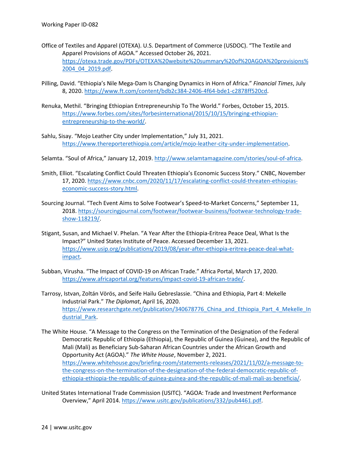- Office of Textiles and Apparel (OTEXA). U.S. Department of Commerce (USDOC). "The Textile and Apparel Provisions of AGOA." Accessed October 26, 2021. [https://otexa.trade.gov/PDFs/OTEXA%20website%20summary%20of%20AGOA%20provisions%](https://otexa.trade.gov/PDFs/OTEXA%20website%20summary%20of%20AGOA%20provisions%2004_04_2019.pdf) [2004\\_04\\_2019.pdf.](https://otexa.trade.gov/PDFs/OTEXA%20website%20summary%20of%20AGOA%20provisions%2004_04_2019.pdf)
- Pilling, David. "Ethiopia's Nile Mega-Dam Is Changing Dynamics in Horn of Africa." *Financial Times*, July 8, 2020[. https://www.ft.com/content/bdb2c384-2406-4f64-bde1-c2878ff520cd.](https://www.ft.com/content/bdb2c384-2406-4f64-bde1-c2878ff520cd)
- Renuka, Methil. "Bringing Ethiopian Entrepreneurship To The World." Forbes, October 15, 2015. [https://www.forbes.com/sites/forbesinternational/2015/10/15/bringing-ethiopian](https://www.forbes.com/sites/forbesinternational/2015/10/15/bringing-ethiopian-entrepreneurship-to-the-world/)[entrepreneurship-to-the-world/.](https://www.forbes.com/sites/forbesinternational/2015/10/15/bringing-ethiopian-entrepreneurship-to-the-world/)
- Sahlu, Sisay. "Mojo Leather City under Implementation," July 31, 2021. [https://www.thereporterethiopia.com/article/mojo-leather-city-under-implementation.](https://www.thereporterethiopia.com/article/mojo-leather-city-under-implementation)
- Selamta. "Soul of Africa," January 12, 2019. [http://www.selamtamagazine.com/stories/soul-of-africa.](http://www.selamtamagazine.com/stories/soul-of-africa)
- Smith, Elliot. "Escalating Conflict Could Threaten Ethiopia's Economic Success Story." CNBC, November 17, 2020. [https://www.cnbc.com/2020/11/17/escalating-conflict-could-threaten-ethiopias](https://www.cnbc.com/2020/11/17/escalating-conflict-could-threaten-ethiopias-economic-success-story.html)[economic-success-story.html.](https://www.cnbc.com/2020/11/17/escalating-conflict-could-threaten-ethiopias-economic-success-story.html)
- Sourcing Journal. "Tech Event Aims to Solve Footwear's Speed-to-Market Concerns," September 11, 2018[. https://sourcingjournal.com/footwear/footwear-business/footwear-technology-trade](https://sourcingjournal.com/footwear/footwear-business/footwear-technology-trade-show-118219/)[show-118219/.](https://sourcingjournal.com/footwear/footwear-business/footwear-technology-trade-show-118219/)
- Stigant, Susan, and Michael V. Phelan. "A Year After the Ethiopia-Eritrea Peace Deal, What Is the Impact?" United States Institute of Peace. Accessed December 13, 2021. [https://www.usip.org/publications/2019/08/year-after-ethiopia-eritrea-peace-deal-what](https://www.usip.org/publications/2019/08/year-after-ethiopia-eritrea-peace-deal-what-impact)[impact.](https://www.usip.org/publications/2019/08/year-after-ethiopia-eritrea-peace-deal-what-impact)
- Subban, Virusha. "The Impact of COVID-19 on African Trade." Africa Portal, March 17, 2020. [https://www.africaportal.org/features/impact-covid-19-african-trade/.](https://www.africaportal.org/features/impact-covid-19-african-trade/)
- Tarrosy, Istvan, Zoltán Vörös, and Seife Hailu Gebreslassie. "China and Ethiopia, Part 4: Mekelle Industrial Park." *The Diplomat*, April 16, 2020. https://www.researchgate.net/publication/340678776 China and Ethiopia Part 4 Mekelle In dustrial Park.
- The White House. "A Message to the Congress on the Termination of the Designation of the Federal Democratic Republic of Ethiopia (Ethiopia), the Republic of Guinea (Guinea), and the Republic of Mali (Mali) as Beneficiary Sub-Saharan African Countries under the African Growth and Opportunity Act (AGOA)." *The White House*, November 2, 2021. [https://www.whitehouse.gov/briefing-room/statements-releases/2021/11/02/a-message-to](https://www.whitehouse.gov/briefing-room/statements-releases/2021/11/02/a-message-to-the-congress-on-the-termination-of-the-designation-of-the-federal-democratic-republic-of-ethiopia-ethiopia-the-republic-of-guinea-guinea-and-the-republic-of-mali-mali-as-beneficia/)[the-congress-on-the-termination-of-the-designation-of-the-federal-democratic-republic-of](https://www.whitehouse.gov/briefing-room/statements-releases/2021/11/02/a-message-to-the-congress-on-the-termination-of-the-designation-of-the-federal-democratic-republic-of-ethiopia-ethiopia-the-republic-of-guinea-guinea-and-the-republic-of-mali-mali-as-beneficia/)[ethiopia-ethiopia-the-republic-of-guinea-guinea-and-the-republic-of-mali-mali-as-beneficia/.](https://www.whitehouse.gov/briefing-room/statements-releases/2021/11/02/a-message-to-the-congress-on-the-termination-of-the-designation-of-the-federal-democratic-republic-of-ethiopia-ethiopia-the-republic-of-guinea-guinea-and-the-republic-of-mali-mali-as-beneficia/)
- United States International Trade Commission (USITC). "AGOA: Trade and Investment Performance Overview," April 2014. [https://www.usitc.gov/publications/332/pub4461.pdf.](https://www.usitc.gov/publications/332/pub4461.pdf)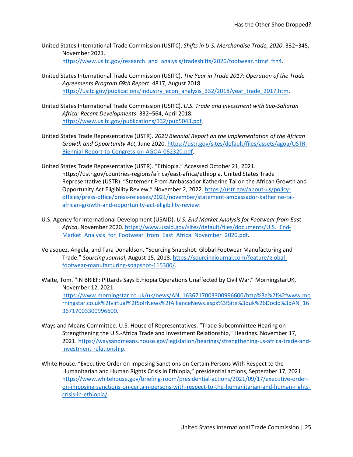- United States International Trade Commission (USITC). *Shifts in U.S. Merchandise Trade, 2020*. 332–345, November 2021. [https://www.usitc.gov/research\\_and\\_analysis/tradeshifts/2020/footwear.htm#\\_ftn4.](https://www.usitc.gov/research_and_analysis/tradeshifts/2020/footwear.htm#_ftn4)
- United States International Trade Commission (USITC). *The Year in Trade 2017: Operation of the Trade Agreements Program 69th Report*. 4817, August 2018. [https://usitc.gov/publications/industry\\_econ\\_analysis\\_332/2018/year\\_trade\\_2017.htm.](https://usitc.gov/publications/industry_econ_analysis_332/2018/year_trade_2017.htm)
- United States International Trade Commission (USITC). *U.S. Trade and Investment with Sub-Saharan Africa: Recent Developments*. 332–564, April 2018. [https://www.usitc.gov/publications/332/pub5043.pdf.](https://www.usitc.gov/publications/332/pub5043.pdf)
- United States Trade Representative (USTR). *2020 Biennial Report on the Implementation of the African Growth and Opportunity Act*, June 2020[. https://ustr.gov/sites/default/files/assets/agoa/USTR-](https://ustr.gov/sites/default/files/assets/agoa/USTR-Biennial-Report-to-Congress-on-AGOA-062320.pdf)[Biennial-Report-to-Congress-on-AGOA-062320.pdf.](https://ustr.gov/sites/default/files/assets/agoa/USTR-Biennial-Report-to-Congress-on-AGOA-062320.pdf)
- United States Trade Representative (USTR). "Ethiopia." Accessed October 21, 2021. https://ustr.gov/countries-regions/africa/east-africa/ethiopia. United States Trade Representative (USTR). "Statement From Ambassador Katherine Tai on the African Growth and Opportunity Act Eligibility Review," November 2, 2022[. https://ustr.gov/about-us/policy](https://ustr.gov/about-us/policy-offices/press-office/press-releases/2021/november/statement-ambassador-katherine-tai-african-growth-and-opportunity-act-eligibility-review)[offices/press-office/press-releases/2021/november/statement-ambassador-katherine-tai](https://ustr.gov/about-us/policy-offices/press-office/press-releases/2021/november/statement-ambassador-katherine-tai-african-growth-and-opportunity-act-eligibility-review)[african-growth-and-opportunity-act-eligibility-review.](https://ustr.gov/about-us/policy-offices/press-office/press-releases/2021/november/statement-ambassador-katherine-tai-african-growth-and-opportunity-act-eligibility-review)
- U.S. Agency for International Development (USAID). *U.S. End Market Analysis for Footwear from East Africa*, November 2020[. https://www.usaid.gov/sites/default/files/documents/U.S.\\_End-](https://www.usaid.gov/sites/default/files/documents/U.S._End-Market_Analysis_for_Footwear_from_East_Africa_November_2020.pdf)Market Analysis for Footwear from East Africa November 2020.pdf.
- Velasquez, Angela, and Tara Donaldson. "Sourcing Snapshot: Global Footwear Manufacturing and Trade." *Sourcing Journal*, August 15, 2018[. https://sourcingjournal.com/feature/global](https://sourcingjournal.com/feature/global-footwear-manufacturing-snapshot-115380/)[footwear-manufacturing-snapshot-115380/.](https://sourcingjournal.com/feature/global-footwear-manufacturing-snapshot-115380/)
- Waite, Tom. "IN BRIEF: Pittards Says Ethiopia Operations Unaffected by Civil War." MorningstarUK, November 12, 2021. [https://www.morningstar.co.uk/uk/news/AN\\_1636717003300996600/http%3a%2f%2fwww.mo](https://www.morningstar.co.uk/uk/news/AN_1636717003300996600/http:/www.morningstar.co.uk/virtual/SolrNews/AllianceNews.aspx) [rningstar.co.uk%2fvirtual%2fSolrNews%2fAllianceNews.aspx%3fSite%3duk%26DocId%3dAN\\_16](https://www.morningstar.co.uk/uk/news/AN_1636717003300996600/http:/www.morningstar.co.uk/virtual/SolrNews/AllianceNews.aspx) [36717003300996600.](https://www.morningstar.co.uk/uk/news/AN_1636717003300996600/http:/www.morningstar.co.uk/virtual/SolrNews/AllianceNews.aspx)
- Ways and Means Committee. U.S. House of Representatives. "Trade Subcommittee Hearing on Strengthening the U.S.-Africa Trade and Investment Relationship," Hearings. November 17, 2021[. https://waysandmeans.house.gov/legislation/hearings/strengthening-us-africa-trade-and](https://waysandmeans.house.gov/legislation/hearings/strengthening-us-africa-trade-and-investment-relationship)[investment-relationship.](https://waysandmeans.house.gov/legislation/hearings/strengthening-us-africa-trade-and-investment-relationship)
- White House. "Executive Order on Imposing Sanctions on Certain Persons With Respect to the Humanitarian and Human Rights Crisis in Ethiopia," presidential actions, September 17, 2021. [https://www.whitehouse.gov/briefing-room/presidential-actions/2021/09/17/executive-order](https://www.whitehouse.gov/briefing-room/presidential-actions/2021/09/17/executive-order-on-imposing-sanctions-on-certain-persons-with-respect-to-the-humanitarian-and-human-rights-crisis-in-ethiopia/)[on-imposing-sanctions-on-certain-persons-with-respect-to-the-humanitarian-and-human-rights](https://www.whitehouse.gov/briefing-room/presidential-actions/2021/09/17/executive-order-on-imposing-sanctions-on-certain-persons-with-respect-to-the-humanitarian-and-human-rights-crisis-in-ethiopia/)[crisis-in-ethiopia/.](https://www.whitehouse.gov/briefing-room/presidential-actions/2021/09/17/executive-order-on-imposing-sanctions-on-certain-persons-with-respect-to-the-humanitarian-and-human-rights-crisis-in-ethiopia/)